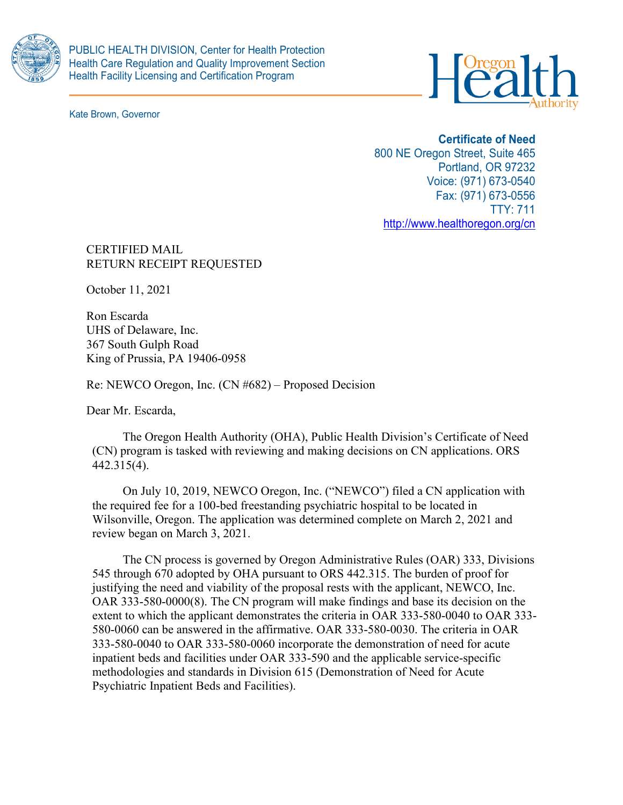

Kate Brown, Governor



# **Certificate of Need**

800 NE Oregon Street, Suite 465 Portland, OR 97232 Voice: (971) 673-0540 Fax: (971) 673-0556 TTY: 711 <http://www.healthoregon.org/cn>

CERTIFIED MAIL RETURN RECEIPT REQUESTED

October 11, 2021

Ron Escarda UHS of Delaware, Inc. 367 South Gulph Road King of Prussia, PA 19406-0958

Re: NEWCO Oregon, Inc. (CN #682) – Proposed Decision

Dear Mr. Escarda,

The Oregon Health Authority (OHA), Public Health Division's Certificate of Need (CN) program is tasked with reviewing and making decisions on CN applications. ORS 442.315(4).

On July 10, 2019, NEWCO Oregon, Inc. ("NEWCO") filed a CN application with the required fee for a 100-bed freestanding psychiatric hospital to be located in Wilsonville, Oregon. The application was determined complete on March 2, 2021 and review began on March 3, 2021.

The CN process is governed by Oregon Administrative Rules (OAR) 333, Divisions 545 through 670 adopted by OHA pursuant to ORS 442.315. The burden of proof for justifying the need and viability of the proposal rests with the applicant, NEWCO, Inc. OAR 333-580-0000(8). The CN program will make findings and base its decision on the extent to which the applicant demonstrates the criteria in OAR 333-580-0040 to OAR 333- 580-0060 can be answered in the affirmative. OAR 333-580-0030. The criteria in OAR 333-580-0040 to OAR 333-580-0060 incorporate the demonstration of need for acute inpatient beds and facilities under OAR 333-590 and the applicable service-specific methodologies and standards in Division 615 (Demonstration of Need for Acute Psychiatric Inpatient Beds and Facilities).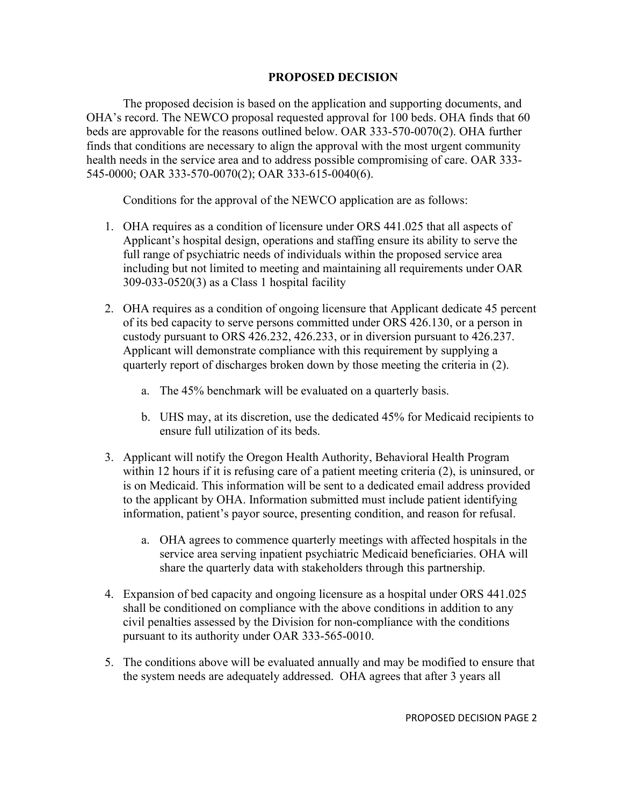# **PROPOSED DECISION**

The proposed decision is based on the application and supporting documents, and OHA's record. The NEWCO proposal requested approval for 100 beds. OHA finds that 60 beds are approvable for the reasons outlined below. OAR 333-570-0070(2). OHA further finds that conditions are necessary to align the approval with the most urgent community health needs in the service area and to address possible compromising of care. OAR 333- 545-0000; OAR 333-570-0070(2); OAR 333-615-0040(6).

Conditions for the approval of the NEWCO application are as follows:

- 1. OHA requires as a condition of licensure under ORS 441.025 that all aspects of Applicant's hospital design, operations and staffing ensure its ability to serve the full range of psychiatric needs of individuals within the proposed service area including but not limited to meeting and maintaining all requirements under OAR 309-033-0520(3) as a Class 1 hospital facility
- 2. OHA requires as a condition of ongoing licensure that Applicant dedicate 45 percent of its bed capacity to serve persons committed under ORS 426.130, or a person in custody pursuant to ORS 426.232, 426.233, or in diversion pursuant to 426.237. Applicant will demonstrate compliance with this requirement by supplying a quarterly report of discharges broken down by those meeting the criteria in (2).
	- a. The 45% benchmark will be evaluated on a quarterly basis.
	- b. UHS may, at its discretion, use the dedicated 45% for Medicaid recipients to ensure full utilization of its beds.
- 3. Applicant will notify the Oregon Health Authority, Behavioral Health Program within 12 hours if it is refusing care of a patient meeting criteria (2), is uninsured, or is on Medicaid. This information will be sent to a dedicated email address provided to the applicant by OHA. Information submitted must include patient identifying information, patient's payor source, presenting condition, and reason for refusal.
	- a. OHA agrees to commence quarterly meetings with affected hospitals in the service area serving inpatient psychiatric Medicaid beneficiaries. OHA will share the quarterly data with stakeholders through this partnership.
- 4. Expansion of bed capacity and ongoing licensure as a hospital under ORS 441.025 shall be conditioned on compliance with the above conditions in addition to any civil penalties assessed by the Division for non-compliance with the conditions pursuant to its authority under OAR 333-565-0010.
- 5. The conditions above will be evaluated annually and may be modified to ensure that the system needs are adequately addressed. OHA agrees that after 3 years all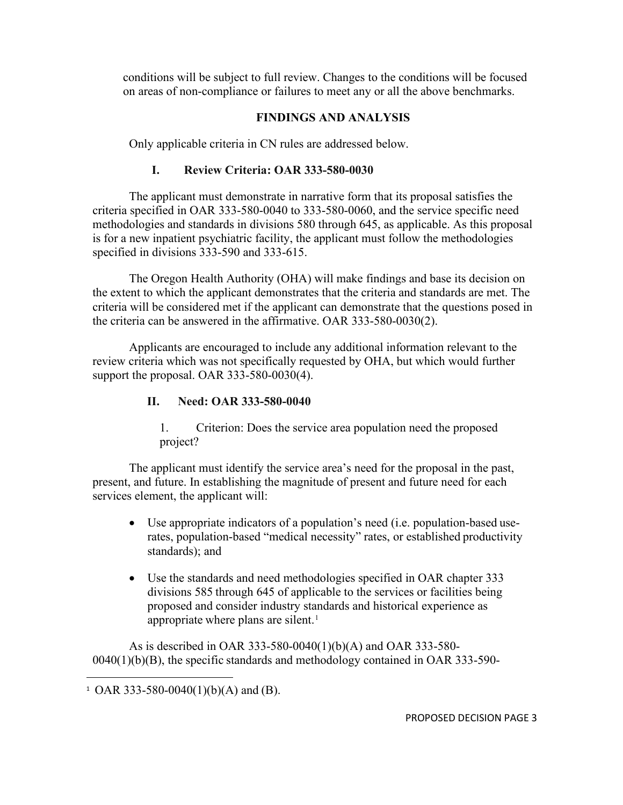conditions will be subject to full review. Changes to the conditions will be focused on areas of non-compliance or failures to meet any or all the above benchmarks.

# **FINDINGS AND ANALYSIS**

Only applicable criteria in CN rules are addressed below.

# **I. Review Criteria: OAR 333-580-0030**

The applicant must demonstrate in narrative form that its proposal satisfies the criteria specified in OAR 333-580-0040 to 333-580-0060, and the service specific need methodologies and standards in divisions 580 through 645, as applicable. As this proposal is for a new inpatient psychiatric facility, the applicant must follow the methodologies specified in divisions 333-590 and 333-615.

The Oregon Health Authority (OHA) will make findings and base its decision on the extent to which the applicant demonstrates that the criteria and standards are met. The criteria will be considered met if the applicant can demonstrate that the questions posed in the criteria can be answered in the affirmative. OAR 333-580-0030(2).

Applicants are encouraged to include any additional information relevant to the review criteria which was not specifically requested by OHA, but which would further support the proposal. OAR 333-580-0030(4).

# **II. Need: OAR 333-580-0040**

1. Criterion: Does the service area population need the proposed project?

The applicant must identify the service area's need for the proposal in the past, present, and future. In establishing the magnitude of present and future need for each services element, the applicant will:

- Use appropriate indicators of a population's need (i.e. population-based userates, population-based "medical necessity" rates, or established productivity standards); and
- Use the standards and need methodologies specified in OAR chapter 333 divisions 585 through 645 of applicable to the services or facilities being proposed and consider industry standards and historical experience as appropriate where plans are silent.<sup>[1](#page-2-0)</sup>

As is described in OAR 333-580-0040(1)(b)(A) and OAR 333-580- 0040(1)(b)(B), the specific standards and methodology contained in OAR 333-590-

<span id="page-2-0"></span><sup>&</sup>lt;sup>1</sup> OAR 333-580-0040(1)(b)(A) and (B).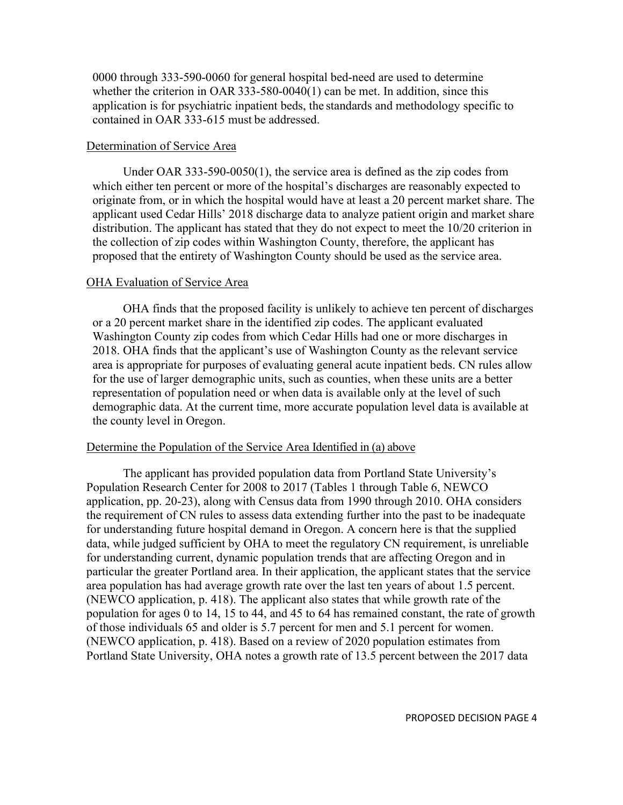0000 through 333-590-0060 for general hospital bed-need are used to determine whether the criterion in OAR 333-580-0040(1) can be met. In addition, since this application is for psychiatric inpatient beds, the standards and methodology specific to contained in OAR 333-615 must be addressed.

### Determination of Service Area

Under OAR 333-590-0050(1), the service area is defined as the zip codes from which either ten percent or more of the hospital's discharges are reasonably expected to originate from, or in which the hospital would have at least a 20 percent market share. The applicant used Cedar Hills' 2018 discharge data to analyze patient origin and market share distribution. The applicant has stated that they do not expect to meet the 10/20 criterion in the collection of zip codes within Washington County, therefore, the applicant has proposed that the entirety of Washington County should be used as the service area.

#### OHA Evaluation of Service Area

OHA finds that the proposed facility is unlikely to achieve ten percent of discharges or a 20 percent market share in the identified zip codes. The applicant evaluated Washington County zip codes from which Cedar Hills had one or more discharges in 2018. OHA finds that the applicant's use of Washington County as the relevant service area is appropriate for purposes of evaluating general acute inpatient beds. CN rules allow for the use of larger demographic units, such as counties, when these units are a better representation of population need or when data is available only at the level of such demographic data. At the current time, more accurate population level data is available at the county level in Oregon.

### Determine the Population of the Service Area Identified in (a) above

The applicant has provided population data from Portland State University's Population Research Center for 2008 to 2017 (Tables 1 through Table 6, NEWCO application, pp. 20-23), along with Census data from 1990 through 2010. OHA considers the requirement of CN rules to assess data extending further into the past to be inadequate for understanding future hospital demand in Oregon. A concern here is that the supplied data, while judged sufficient by OHA to meet the regulatory CN requirement, is unreliable for understanding current, dynamic population trends that are affecting Oregon and in particular the greater Portland area. In their application, the applicant states that the service area population has had average growth rate over the last ten years of about 1.5 percent. (NEWCO application, p. 418). The applicant also states that while growth rate of the population for ages 0 to 14, 15 to 44, and 45 to 64 has remained constant, the rate of growth of those individuals 65 and older is 5.7 percent for men and 5.1 percent for women. (NEWCO application, p. 418). Based on a review of 2020 population estimates from Portland State University, OHA notes a growth rate of 13.5 percent between the 2017 data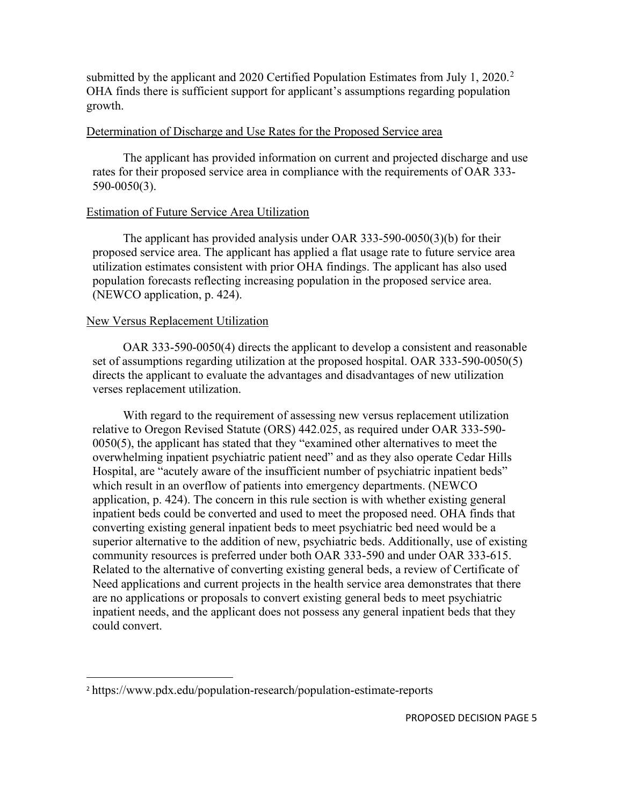submitted by the applicant and [2](#page-4-0)020 Certified Population Estimates from July 1, 2020.<sup>2</sup> OHA finds there is sufficient support for applicant's assumptions regarding population growth.

### Determination of Discharge and Use Rates for the Proposed Service area

The applicant has provided information on current and projected discharge and use rates for their proposed service area in compliance with the requirements of OAR 333- 590-0050(3).

## Estimation of Future Service Area Utilization

The applicant has provided analysis under OAR 333-590-0050(3)(b) for their proposed service area. The applicant has applied a flat usage rate to future service area utilization estimates consistent with prior OHA findings. The applicant has also used population forecasts reflecting increasing population in the proposed service area. (NEWCO application, p. 424).

## New Versus Replacement Utilization

OAR 333-590-0050(4) directs the applicant to develop a consistent and reasonable set of assumptions regarding utilization at the proposed hospital. OAR 333-590-0050(5) directs the applicant to evaluate the advantages and disadvantages of new utilization verses replacement utilization.

With regard to the requirement of assessing new versus replacement utilization relative to Oregon Revised Statute (ORS) 442.025, as required under OAR 333-590- 0050(5), the applicant has stated that they "examined other alternatives to meet the overwhelming inpatient psychiatric patient need" and as they also operate Cedar Hills Hospital, are "acutely aware of the insufficient number of psychiatric inpatient beds" which result in an overflow of patients into emergency departments. (NEWCO application, p. 424). The concern in this rule section is with whether existing general inpatient beds could be converted and used to meet the proposed need. OHA finds that converting existing general inpatient beds to meet psychiatric bed need would be a superior alternative to the addition of new, psychiatric beds. Additionally, use of existing community resources is preferred under both OAR 333-590 and under OAR 333-615. Related to the alternative of converting existing general beds, a review of Certificate of Need applications and current projects in the health service area demonstrates that there are no applications or proposals to convert existing general beds to meet psychiatric inpatient needs, and the applicant does not possess any general inpatient beds that they could convert.

<span id="page-4-0"></span><sup>2</sup> https://www.pdx.edu/population-research/population-estimate-reports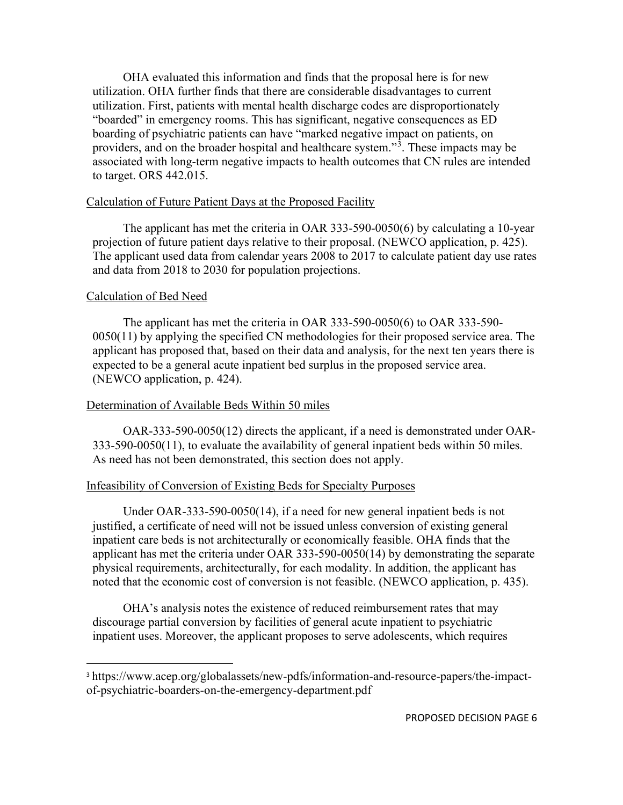OHA evaluated this information and finds that the proposal here is for new utilization. OHA further finds that there are considerable disadvantages to current utilization. First, patients with mental health discharge codes are disproportionately "boarded" in emergency rooms. This has significant, negative consequences as ED boarding of psychiatric patients can have "marked negative impact on patients, on providers, and on the broader hospital and healthcare system."<sup>[3](#page-5-0)</sup>. These impacts may be associated with long-term negative impacts to health outcomes that CN rules are intended to target. ORS 442.015.

### Calculation of Future Patient Days at the Proposed Facility

The applicant has met the criteria in OAR 333-590-0050(6) by calculating a 10-year projection of future patient days relative to their proposal. (NEWCO application, p. 425). The applicant used data from calendar years 2008 to 2017 to calculate patient day use rates and data from 2018 to 2030 for population projections.

# Calculation of Bed Need

The applicant has met the criteria in OAR 333-590-0050(6) to OAR 333-590- 0050(11) by applying the specified CN methodologies for their proposed service area. The applicant has proposed that, based on their data and analysis, for the next ten years there is expected to be a general acute inpatient bed surplus in the proposed service area. (NEWCO application, p. 424).

## Determination of Available Beds Within 50 miles

OAR-333-590-0050(12) directs the applicant, if a need is demonstrated under OAR-333-590-0050(11), to evaluate the availability of general inpatient beds within 50 miles. As need has not been demonstrated, this section does not apply.

## Infeasibility of Conversion of Existing Beds for Specialty Purposes

Under OAR-333-590-0050(14), if a need for new general inpatient beds is not justified, a certificate of need will not be issued unless conversion of existing general inpatient care beds is not architecturally or economically feasible. OHA finds that the applicant has met the criteria under OAR 333-590-0050(14) by demonstrating the separate physical requirements, architecturally, for each modality. In addition, the applicant has noted that the economic cost of conversion is not feasible. (NEWCO application, p. 435).

OHA's analysis notes the existence of reduced reimbursement rates that may discourage partial conversion by facilities of general acute inpatient to psychiatric inpatient uses. Moreover, the applicant proposes to serve adolescents, which requires

<span id="page-5-0"></span><sup>&</sup>lt;sup>3</sup> https://www.acep.org/globalassets/new-pdfs/information-and-resource-papers/the-impactof-psychiatric-boarders-on-the-emergency-department.pdf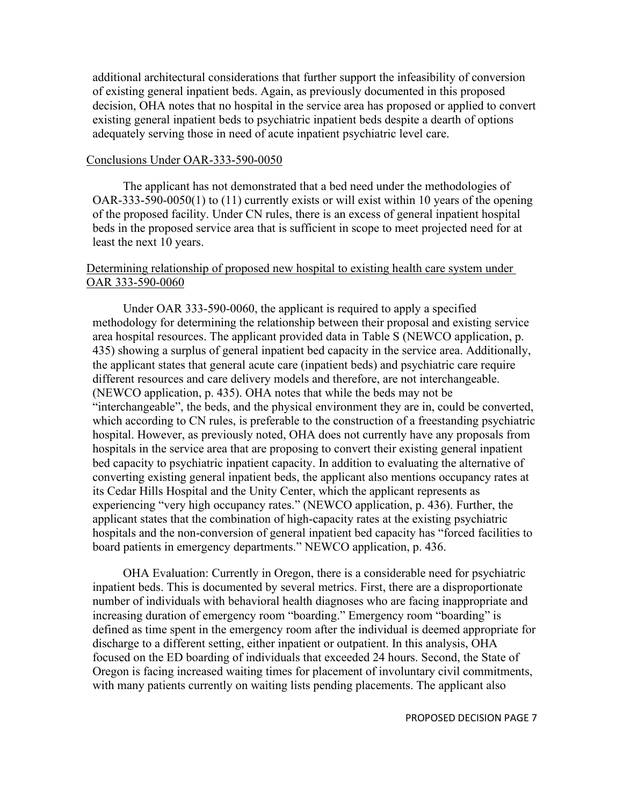additional architectural considerations that further support the infeasibility of conversion of existing general inpatient beds. Again, as previously documented in this proposed decision, OHA notes that no hospital in the service area has proposed or applied to convert existing general inpatient beds to psychiatric inpatient beds despite a dearth of options adequately serving those in need of acute inpatient psychiatric level care.

#### Conclusions Under OAR-333-590-0050

The applicant has not demonstrated that a bed need under the methodologies of OAR-333-590-0050(1) to (11) currently exists or will exist within 10 years of the opening of the proposed facility. Under CN rules, there is an excess of general inpatient hospital beds in the proposed service area that is sufficient in scope to meet projected need for at least the next 10 years.

# Determining relationship of proposed new hospital to existing health care system under OAR 333-590-0060

Under OAR 333-590-0060, the applicant is required to apply a specified methodology for determining the relationship between their proposal and existing service area hospital resources. The applicant provided data in Table S (NEWCO application, p. 435) showing a surplus of general inpatient bed capacity in the service area. Additionally, the applicant states that general acute care (inpatient beds) and psychiatric care require different resources and care delivery models and therefore, are not interchangeable. (NEWCO application, p. 435). OHA notes that while the beds may not be "interchangeable", the beds, and the physical environment they are in, could be converted, which according to CN rules, is preferable to the construction of a freestanding psychiatric hospital. However, as previously noted, OHA does not currently have any proposals from hospitals in the service area that are proposing to convert their existing general inpatient bed capacity to psychiatric inpatient capacity. In addition to evaluating the alternative of converting existing general inpatient beds, the applicant also mentions occupancy rates at its Cedar Hills Hospital and the Unity Center, which the applicant represents as experiencing "very high occupancy rates." (NEWCO application, p. 436). Further, the applicant states that the combination of high-capacity rates at the existing psychiatric hospitals and the non-conversion of general inpatient bed capacity has "forced facilities to board patients in emergency departments." NEWCO application, p. 436.

OHA Evaluation: Currently in Oregon, there is a considerable need for psychiatric inpatient beds. This is documented by several metrics. First, there are a disproportionate number of individuals with behavioral health diagnoses who are facing inappropriate and increasing duration of emergency room "boarding." Emergency room "boarding" is defined as time spent in the emergency room after the individual is deemed appropriate for discharge to a different setting, either inpatient or outpatient. In this analysis, OHA focused on the ED boarding of individuals that exceeded 24 hours. Second, the State of Oregon is facing increased waiting times for placement of involuntary civil commitments, with many patients currently on waiting lists pending placements. The applicant also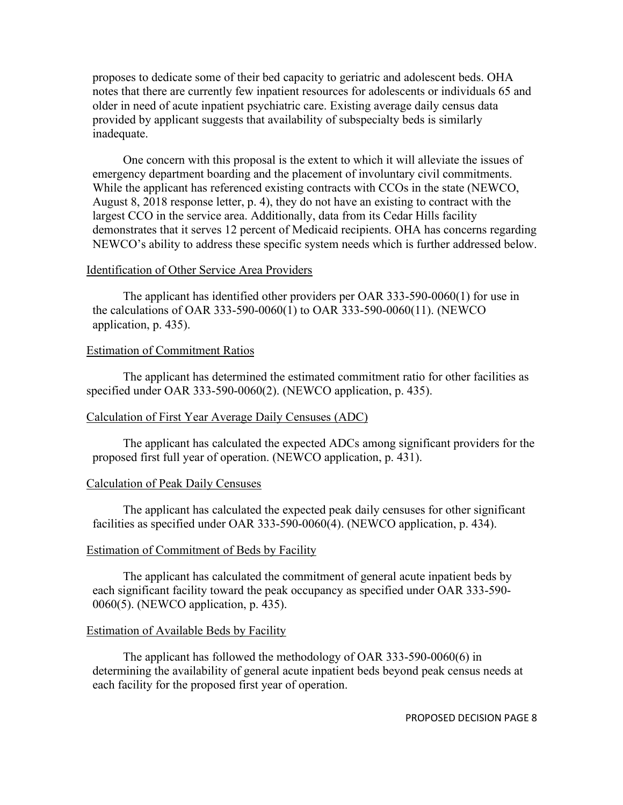proposes to dedicate some of their bed capacity to geriatric and adolescent beds. OHA notes that there are currently few inpatient resources for adolescents or individuals 65 and older in need of acute inpatient psychiatric care. Existing average daily census data provided by applicant suggests that availability of subspecialty beds is similarly inadequate.

One concern with this proposal is the extent to which it will alleviate the issues of emergency department boarding and the placement of involuntary civil commitments. While the applicant has referenced existing contracts with CCOs in the state (NEWCO, August 8, 2018 response letter, p. 4), they do not have an existing to contract with the largest CCO in the service area. Additionally, data from its Cedar Hills facility demonstrates that it serves 12 percent of Medicaid recipients. OHA has concerns regarding NEWCO's ability to address these specific system needs which is further addressed below.

### Identification of Other Service Area Providers

The applicant has identified other providers per OAR 333-590-0060(1) for use in the calculations of OAR 333-590-0060(1) to OAR 333-590-0060(11). (NEWCO application, p. 435).

## Estimation of Commitment Ratios

The applicant has determined the estimated commitment ratio for other facilities as specified under OAR 333-590-0060(2). (NEWCO application, p. 435).

## Calculation of First Year Average Daily Censuses (ADC)

The applicant has calculated the expected ADCs among significant providers for the proposed first full year of operation. (NEWCO application, p. 431).

### Calculation of Peak Daily Censuses

The applicant has calculated the expected peak daily censuses for other significant facilities as specified under OAR 333-590-0060(4). (NEWCO application, p. 434).

### Estimation of Commitment of Beds by Facility

The applicant has calculated the commitment of general acute inpatient beds by each significant facility toward the peak occupancy as specified under OAR 333-590- 0060(5). (NEWCO application, p. 435).

### Estimation of Available Beds by Facility

The applicant has followed the methodology of OAR 333-590-0060(6) in determining the availability of general acute inpatient beds beyond peak census needs at each facility for the proposed first year of operation.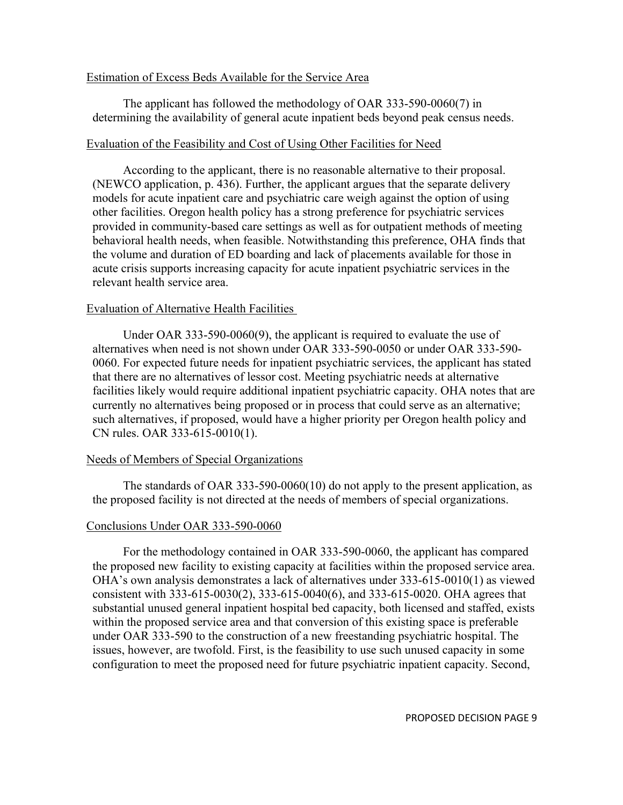### Estimation of Excess Beds Available for the Service Area

The applicant has followed the methodology of OAR 333-590-0060(7) in determining the availability of general acute inpatient beds beyond peak census needs.

### Evaluation of the Feasibility and Cost of Using Other Facilities for Need

According to the applicant, there is no reasonable alternative to their proposal. (NEWCO application, p. 436). Further, the applicant argues that the separate delivery models for acute inpatient care and psychiatric care weigh against the option of using other facilities. Oregon health policy has a strong preference for psychiatric services provided in community-based care settings as well as for outpatient methods of meeting behavioral health needs, when feasible. Notwithstanding this preference, OHA finds that the volume and duration of ED boarding and lack of placements available for those in acute crisis supports increasing capacity for acute inpatient psychiatric services in the relevant health service area.

### Evaluation of Alternative Health Facilities

Under OAR 333-590-0060(9), the applicant is required to evaluate the use of alternatives when need is not shown under OAR 333-590-0050 or under OAR 333-590- 0060. For expected future needs for inpatient psychiatric services, the applicant has stated that there are no alternatives of lessor cost. Meeting psychiatric needs at alternative facilities likely would require additional inpatient psychiatric capacity. OHA notes that are currently no alternatives being proposed or in process that could serve as an alternative; such alternatives, if proposed, would have a higher priority per Oregon health policy and CN rules. OAR 333-615-0010(1).

## Needs of Members of Special Organizations

The standards of OAR 333-590-0060(10) do not apply to the present application, as the proposed facility is not directed at the needs of members of special organizations.

## Conclusions Under OAR 333-590-0060

For the methodology contained in OAR 333-590-0060, the applicant has compared the proposed new facility to existing capacity at facilities within the proposed service area. OHA's own analysis demonstrates a lack of alternatives under 333-615-0010(1) as viewed consistent with 333-615-0030(2), 333-615-0040(6), and 333-615-0020. OHA agrees that substantial unused general inpatient hospital bed capacity, both licensed and staffed, exists within the proposed service area and that conversion of this existing space is preferable under OAR 333-590 to the construction of a new freestanding psychiatric hospital. The issues, however, are twofold. First, is the feasibility to use such unused capacity in some configuration to meet the proposed need for future psychiatric inpatient capacity. Second,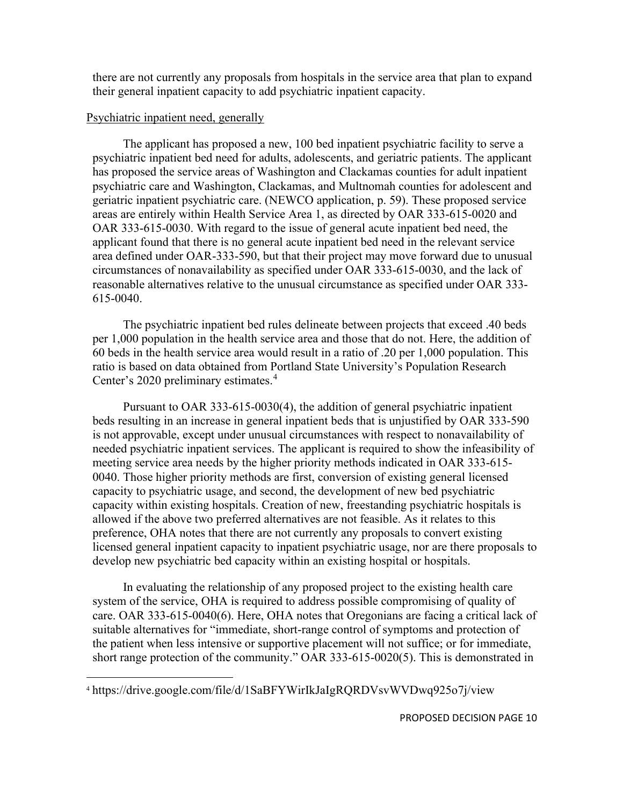there are not currently any proposals from hospitals in the service area that plan to expand their general inpatient capacity to add psychiatric inpatient capacity.

## Psychiatric inpatient need, generally

The applicant has proposed a new, 100 bed inpatient psychiatric facility to serve a psychiatric inpatient bed need for adults, adolescents, and geriatric patients. The applicant has proposed the service areas of Washington and Clackamas counties for adult inpatient psychiatric care and Washington, Clackamas, and Multnomah counties for adolescent and geriatric inpatient psychiatric care. (NEWCO application, p. 59). These proposed service areas are entirely within Health Service Area 1, as directed by OAR 333-615-0020 and OAR 333-615-0030. With regard to the issue of general acute inpatient bed need, the applicant found that there is no general acute inpatient bed need in the relevant service area defined under OAR-333-590, but that their project may move forward due to unusual circumstances of nonavailability as specified under OAR 333-615-0030, and the lack of reasonable alternatives relative to the unusual circumstance as specified under OAR 333- 615-0040.

The psychiatric inpatient bed rules delineate between projects that exceed .40 beds per 1,000 population in the health service area and those that do not. Here, the addition of 60 beds in the health service area would result in a ratio of .20 per 1,000 population. This ratio is based on data obtained from Portland State University's Population Research Center's 2020 preliminary estimates. [4](#page-9-0)

Pursuant to OAR 333-615-0030(4), the addition of general psychiatric inpatient beds resulting in an increase in general inpatient beds that is unjustified by OAR 333-590 is not approvable, except under unusual circumstances with respect to nonavailability of needed psychiatric inpatient services. The applicant is required to show the infeasibility of meeting service area needs by the higher priority methods indicated in OAR 333-615- 0040. Those higher priority methods are first, conversion of existing general licensed capacity to psychiatric usage, and second, the development of new bed psychiatric capacity within existing hospitals. Creation of new, freestanding psychiatric hospitals is allowed if the above two preferred alternatives are not feasible. As it relates to this preference, OHA notes that there are not currently any proposals to convert existing licensed general inpatient capacity to inpatient psychiatric usage, nor are there proposals to develop new psychiatric bed capacity within an existing hospital or hospitals.

In evaluating the relationship of any proposed project to the existing health care system of the service, OHA is required to address possible compromising of quality of care. OAR 333-615-0040(6). Here, OHA notes that Oregonians are facing a critical lack of suitable alternatives for "immediate, short-range control of symptoms and protection of the patient when less intensive or supportive placement will not suffice; or for immediate, short range protection of the community." OAR 333-615-0020(5). This is demonstrated in

<span id="page-9-0"></span><sup>4</sup> https://drive.google.com/file/d/1SaBFYWirIkJaIgRQRDVsvWVDwq925o7j/view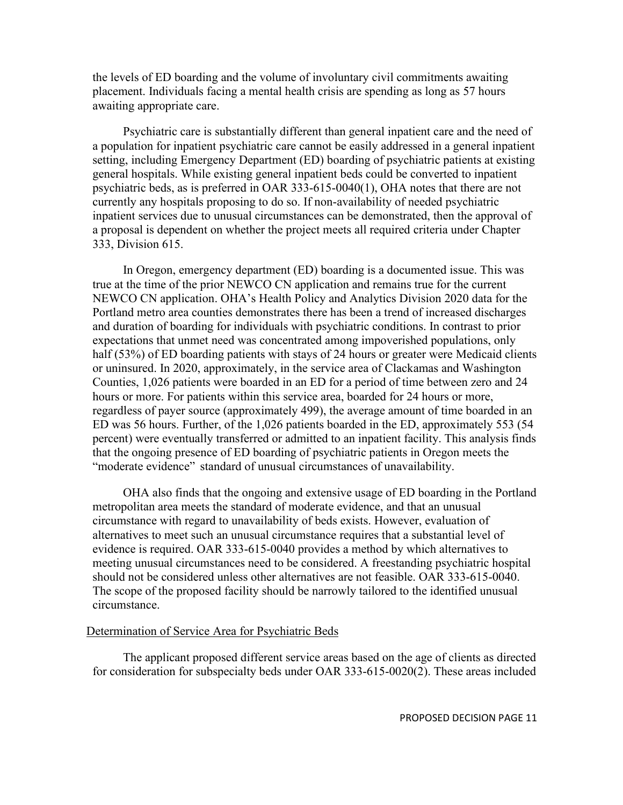the levels of ED boarding and the volume of involuntary civil commitments awaiting placement. Individuals facing a mental health crisis are spending as long as 57 hours awaiting appropriate care.

Psychiatric care is substantially different than general inpatient care and the need of a population for inpatient psychiatric care cannot be easily addressed in a general inpatient setting, including Emergency Department (ED) boarding of psychiatric patients at existing general hospitals. While existing general inpatient beds could be converted to inpatient psychiatric beds, as is preferred in OAR 333-615-0040(1), OHA notes that there are not currently any hospitals proposing to do so. If non-availability of needed psychiatric inpatient services due to unusual circumstances can be demonstrated, then the approval of a proposal is dependent on whether the project meets all required criteria under Chapter 333, Division 615.

In Oregon, emergency department (ED) boarding is a documented issue. This was true at the time of the prior NEWCO CN application and remains true for the current NEWCO CN application. OHA's Health Policy and Analytics Division 2020 data for the Portland metro area counties demonstrates there has been a trend of increased discharges and duration of boarding for individuals with psychiatric conditions. In contrast to prior expectations that unmet need was concentrated among impoverished populations, only half (53%) of ED boarding patients with stays of 24 hours or greater were Medicaid clients or uninsured. In 2020, approximately, in the service area of Clackamas and Washington Counties, 1,026 patients were boarded in an ED for a period of time between zero and 24 hours or more. For patients within this service area, boarded for 24 hours or more, regardless of payer source (approximately 499), the average amount of time boarded in an ED was 56 hours. Further, of the 1,026 patients boarded in the ED, approximately 553 (54 percent) were eventually transferred or admitted to an inpatient facility. This analysis finds that the ongoing presence of ED boarding of psychiatric patients in Oregon meets the "moderate evidence" standard of unusual circumstances of unavailability.

OHA also finds that the ongoing and extensive usage of ED boarding in the Portland metropolitan area meets the standard of moderate evidence, and that an unusual circumstance with regard to unavailability of beds exists. However, evaluation of alternatives to meet such an unusual circumstance requires that a substantial level of evidence is required. OAR 333-615-0040 provides a method by which alternatives to meeting unusual circumstances need to be considered. A freestanding psychiatric hospital should not be considered unless other alternatives are not feasible. OAR 333-615-0040. The scope of the proposed facility should be narrowly tailored to the identified unusual circumstance.

### Determination of Service Area for Psychiatric Beds

The applicant proposed different service areas based on the age of clients as directed for consideration for subspecialty beds under OAR 333-615-0020(2). These areas included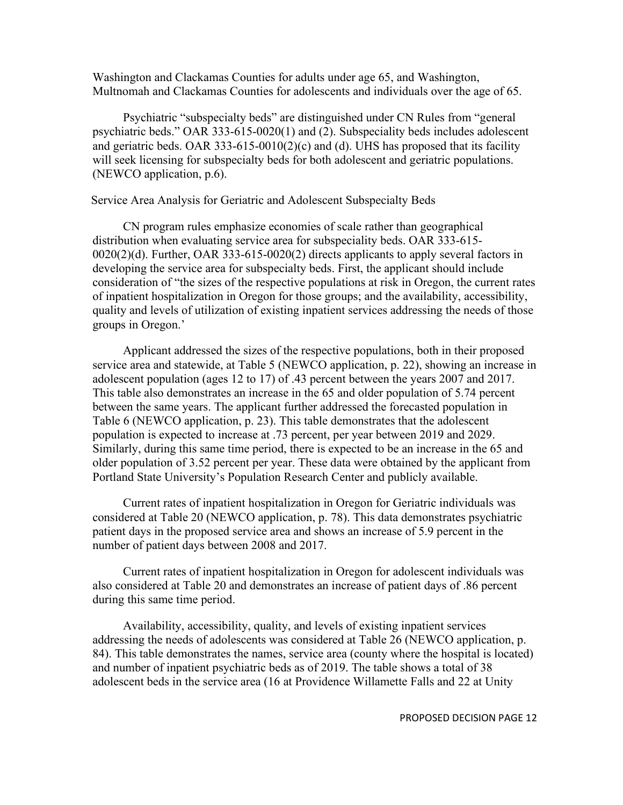Washington and Clackamas Counties for adults under age 65, and Washington, Multnomah and Clackamas Counties for adolescents and individuals over the age of 65.

Psychiatric "subspecialty beds" are distinguished under CN Rules from "general psychiatric beds." OAR 333-615-0020(1) and (2). Subspeciality beds includes adolescent and geriatric beds. OAR 333-615-0010(2)(c) and (d). UHS has proposed that its facility will seek licensing for subspecialty beds for both adolescent and geriatric populations. (NEWCO application, p.6).

### Service Area Analysis for Geriatric and Adolescent Subspecialty Beds

CN program rules emphasize economies of scale rather than geographical distribution when evaluating service area for subspeciality beds. OAR 333-615- 0020(2)(d). Further, OAR 333-615-0020(2) directs applicants to apply several factors in developing the service area for subspecialty beds. First, the applicant should include consideration of "the sizes of the respective populations at risk in Oregon, the current rates of inpatient hospitalization in Oregon for those groups; and the availability, accessibility, quality and levels of utilization of existing inpatient services addressing the needs of those groups in Oregon.'

Applicant addressed the sizes of the respective populations, both in their proposed service area and statewide, at Table 5 (NEWCO application, p. 22), showing an increase in adolescent population (ages 12 to 17) of .43 percent between the years 2007 and 2017. This table also demonstrates an increase in the 65 and older population of 5.74 percent between the same years. The applicant further addressed the forecasted population in Table 6 (NEWCO application, p. 23). This table demonstrates that the adolescent population is expected to increase at .73 percent, per year between 2019 and 2029. Similarly, during this same time period, there is expected to be an increase in the 65 and older population of 3.52 percent per year. These data were obtained by the applicant from Portland State University's Population Research Center and publicly available.

Current rates of inpatient hospitalization in Oregon for Geriatric individuals was considered at Table 20 (NEWCO application, p. 78). This data demonstrates psychiatric patient days in the proposed service area and shows an increase of 5.9 percent in the number of patient days between 2008 and 2017.

Current rates of inpatient hospitalization in Oregon for adolescent individuals was also considered at Table 20 and demonstrates an increase of patient days of .86 percent during this same time period.

Availability, accessibility, quality, and levels of existing inpatient services addressing the needs of adolescents was considered at Table 26 (NEWCO application, p. 84). This table demonstrates the names, service area (county where the hospital is located) and number of inpatient psychiatric beds as of 2019. The table shows a total of 38 adolescent beds in the service area (16 at Providence Willamette Falls and 22 at Unity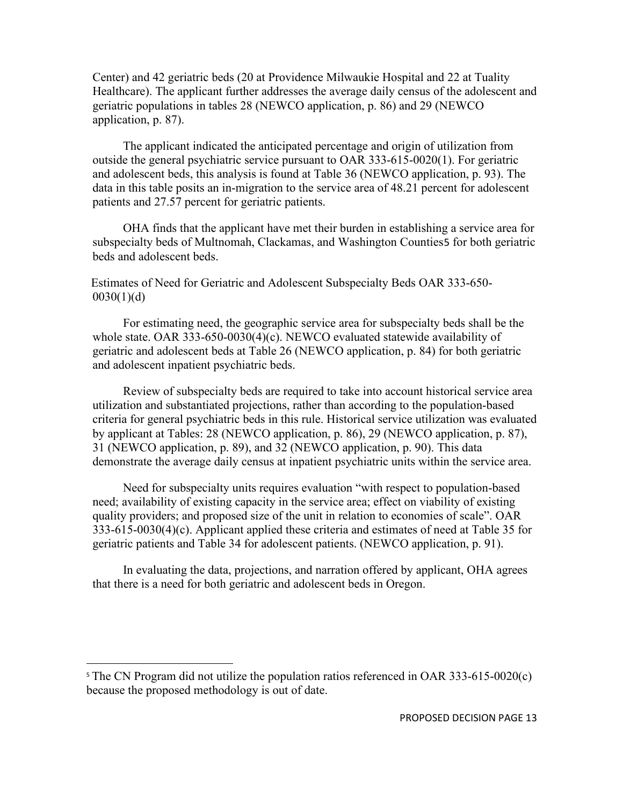Center) and 42 geriatric beds (20 at Providence Milwaukie Hospital and 22 at Tuality Healthcare). The applicant further addresses the average daily census of the adolescent and geriatric populations in tables 28 (NEWCO application, p. 86) and 29 (NEWCO application, p. 87).

The applicant indicated the anticipated percentage and origin of utilization from outside the general psychiatric service pursuant to OAR 333-615-0020(1). For geriatric and adolescent beds, this analysis is found at Table 36 (NEWCO application, p. 93). The data in this table posits an in-migration to the service area of 48.21 percent for adolescent patients and 27.57 percent for geriatric patients.

OHA finds that the applicant have met their burden in establishing a service area for subspecialty beds of Multnomah, Clackamas, and Washington Counties[5](#page-12-0) for both geriatric beds and adolescent beds.

Estimates of Need for Geriatric and Adolescent Subspecialty Beds OAR 333-650-  $0030(1)(d)$ 

For estimating need, the geographic service area for subspecialty beds shall be the whole state. OAR 333-650-0030(4)(c). NEWCO evaluated statewide availability of geriatric and adolescent beds at Table 26 (NEWCO application, p. 84) for both geriatric and adolescent inpatient psychiatric beds.

Review of subspecialty beds are required to take into account historical service area utilization and substantiated projections, rather than according to the population-based criteria for general psychiatric beds in this rule. Historical service utilization was evaluated by applicant at Tables: 28 (NEWCO application, p. 86), 29 (NEWCO application, p. 87), 31 (NEWCO application, p. 89), and 32 (NEWCO application, p. 90). This data demonstrate the average daily census at inpatient psychiatric units within the service area.

Need for subspecialty units requires evaluation "with respect to population-based need; availability of existing capacity in the service area; effect on viability of existing quality providers; and proposed size of the unit in relation to economies of scale". OAR 333-615-0030(4)(c). Applicant applied these criteria and estimates of need at Table 35 for geriatric patients and Table 34 for adolescent patients. (NEWCO application, p. 91).

In evaluating the data, projections, and narration offered by applicant, OHA agrees that there is a need for both geriatric and adolescent beds in Oregon.

<span id="page-12-0"></span><sup>&</sup>lt;sup>5</sup> The CN Program did not utilize the population ratios referenced in OAR 333-615-0020(c) because the proposed methodology is out of date.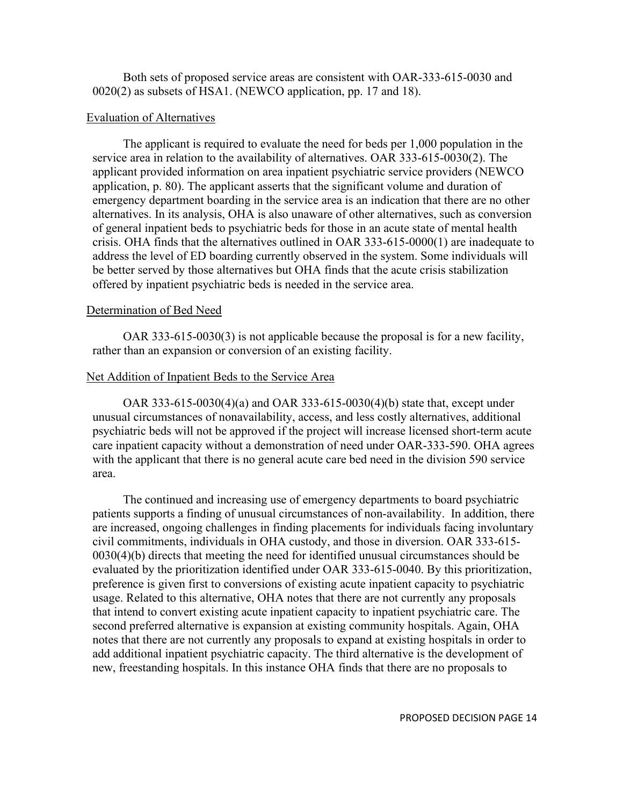Both sets of proposed service areas are consistent with OAR-333-615-0030 and 0020(2) as subsets of HSA1. (NEWCO application, pp. 17 and 18).

### Evaluation of Alternatives

The applicant is required to evaluate the need for beds per 1,000 population in the service area in relation to the availability of alternatives. OAR 333-615-0030(2). The applicant provided information on area inpatient psychiatric service providers (NEWCO application, p. 80). The applicant asserts that the significant volume and duration of emergency department boarding in the service area is an indication that there are no other alternatives. In its analysis, OHA is also unaware of other alternatives, such as conversion of general inpatient beds to psychiatric beds for those in an acute state of mental health crisis. OHA finds that the alternatives outlined in OAR 333-615-0000(1) are inadequate to address the level of ED boarding currently observed in the system. Some individuals will be better served by those alternatives but OHA finds that the acute crisis stabilization offered by inpatient psychiatric beds is needed in the service area.

## Determination of Bed Need

OAR 333-615-0030(3) is not applicable because the proposal is for a new facility, rather than an expansion or conversion of an existing facility.

## Net Addition of Inpatient Beds to the Service Area

OAR 333-615-0030(4)(a) and OAR 333-615-0030(4)(b) state that, except under unusual circumstances of nonavailability, access, and less costly alternatives, additional psychiatric beds will not be approved if the project will increase licensed short-term acute care inpatient capacity without a demonstration of need under OAR-333-590. OHA agrees with the applicant that there is no general acute care bed need in the division 590 service area.

The continued and increasing use of emergency departments to board psychiatric patients supports a finding of unusual circumstances of non-availability. In addition, there are increased, ongoing challenges in finding placements for individuals facing involuntary civil commitments, individuals in OHA custody, and those in diversion. OAR 333-615- 0030(4)(b) directs that meeting the need for identified unusual circumstances should be evaluated by the prioritization identified under OAR 333-615-0040. By this prioritization, preference is given first to conversions of existing acute inpatient capacity to psychiatric usage. Related to this alternative, OHA notes that there are not currently any proposals that intend to convert existing acute inpatient capacity to inpatient psychiatric care. The second preferred alternative is expansion at existing community hospitals. Again, OHA notes that there are not currently any proposals to expand at existing hospitals in order to add additional inpatient psychiatric capacity. The third alternative is the development of new, freestanding hospitals. In this instance OHA finds that there are no proposals to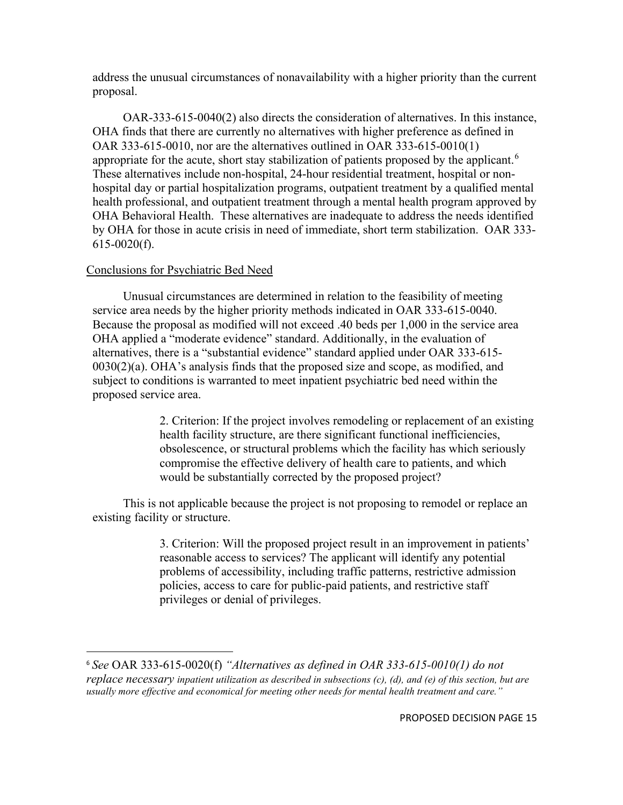address the unusual circumstances of nonavailability with a higher priority than the current proposal.

OAR-333-615-0040(2) also directs the consideration of alternatives. In this instance, OHA finds that there are currently no alternatives with higher preference as defined in OAR 333-615-0010, nor are the alternatives outlined in OAR 333-615-0010(1) appropriate for the acute, short stay stabilization of patients proposed by the applicant.<sup>[6](#page-14-0)</sup> These alternatives include non-hospital, 24-hour residential treatment, hospital or nonhospital day or partial hospitalization programs, outpatient treatment by a qualified mental health professional, and outpatient treatment through a mental health program approved by OHA Behavioral Health. These alternatives are inadequate to address the needs identified by OHA for those in acute crisis in need of immediate, short term stabilization. OAR 333-  $615-0020(f)$ .

### Conclusions for Psychiatric Bed Need

Unusual circumstances are determined in relation to the feasibility of meeting service area needs by the higher priority methods indicated in OAR 333-615-0040. Because the proposal as modified will not exceed .40 beds per 1,000 in the service area OHA applied a "moderate evidence" standard. Additionally, in the evaluation of alternatives, there is a "substantial evidence" standard applied under OAR 333-615-  $0030(2)(a)$ . OHA's analysis finds that the proposed size and scope, as modified, and subject to conditions is warranted to meet inpatient psychiatric bed need within the proposed service area.

> 2. Criterion: If the project involves remodeling or replacement of an existing health facility structure, are there significant functional inefficiencies, obsolescence, or structural problems which the facility has which seriously compromise the effective delivery of health care to patients, and which would be substantially corrected by the proposed project?

This is not applicable because the project is not proposing to remodel or replace an existing facility or structure.

> 3. Criterion: Will the proposed project result in an improvement in patients' reasonable access to services? The applicant will identify any potential problems of accessibility, including traffic patterns, restrictive admission policies, access to care for public-paid patients, and restrictive staff privileges or denial of privileges.

<span id="page-14-0"></span><sup>6</sup> *See* OAR 333-615-0020(f) *"Alternatives as defined in OAR 333-615-0010(1) do not replace necessary inpatient utilization as described in subsections (c), (d), and (e) of this section, but are usually more effective and economical for meeting other needs for mental health treatment and care."*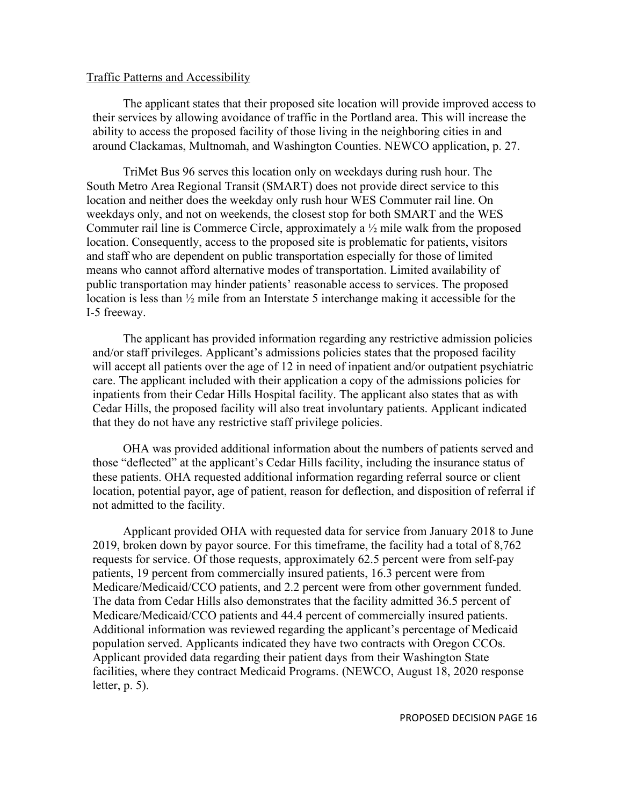#### Traffic Patterns and Accessibility

The applicant states that their proposed site location will provide improved access to their services by allowing avoidance of traffic in the Portland area. This will increase the ability to access the proposed facility of those living in the neighboring cities in and around Clackamas, Multnomah, and Washington Counties. NEWCO application, p. 27.

TriMet Bus 96 serves this location only on weekdays during rush hour. The South Metro Area Regional Transit (SMART) does not provide direct service to this location and neither does the weekday only rush hour WES Commuter rail line. On weekdays only, and not on weekends, the closest stop for both SMART and the WES Commuter rail line is Commerce Circle, approximately a ½ mile walk from the proposed location. Consequently, access to the proposed site is problematic for patients, visitors and staff who are dependent on public transportation especially for those of limited means who cannot afford alternative modes of transportation. Limited availability of public transportation may hinder patients' reasonable access to services. The proposed location is less than ½ mile from an Interstate 5 interchange making it accessible for the I-5 freeway.

The applicant has provided information regarding any restrictive admission policies and/or staff privileges. Applicant's admissions policies states that the proposed facility will accept all patients over the age of 12 in need of inpatient and/or outpatient psychiatric care. The applicant included with their application a copy of the admissions policies for inpatients from their Cedar Hills Hospital facility. The applicant also states that as with Cedar Hills, the proposed facility will also treat involuntary patients. Applicant indicated that they do not have any restrictive staff privilege policies.

OHA was provided additional information about the numbers of patients served and those "deflected" at the applicant's Cedar Hills facility, including the insurance status of these patients. OHA requested additional information regarding referral source or client location, potential payor, age of patient, reason for deflection, and disposition of referral if not admitted to the facility.

Applicant provided OHA with requested data for service from January 2018 to June 2019, broken down by payor source. For this timeframe, the facility had a total of 8,762 requests for service. Of those requests, approximately 62.5 percent were from self-pay patients, 19 percent from commercially insured patients, 16.3 percent were from Medicare/Medicaid/CCO patients, and 2.2 percent were from other government funded. The data from Cedar Hills also demonstrates that the facility admitted 36.5 percent of Medicare/Medicaid/CCO patients and 44.4 percent of commercially insured patients. Additional information was reviewed regarding the applicant's percentage of Medicaid population served. Applicants indicated they have two contracts with Oregon CCOs. Applicant provided data regarding their patient days from their Washington State facilities, where they contract Medicaid Programs. (NEWCO, August 18, 2020 response letter, p. 5).

PROPOSED DECISION PAGE 16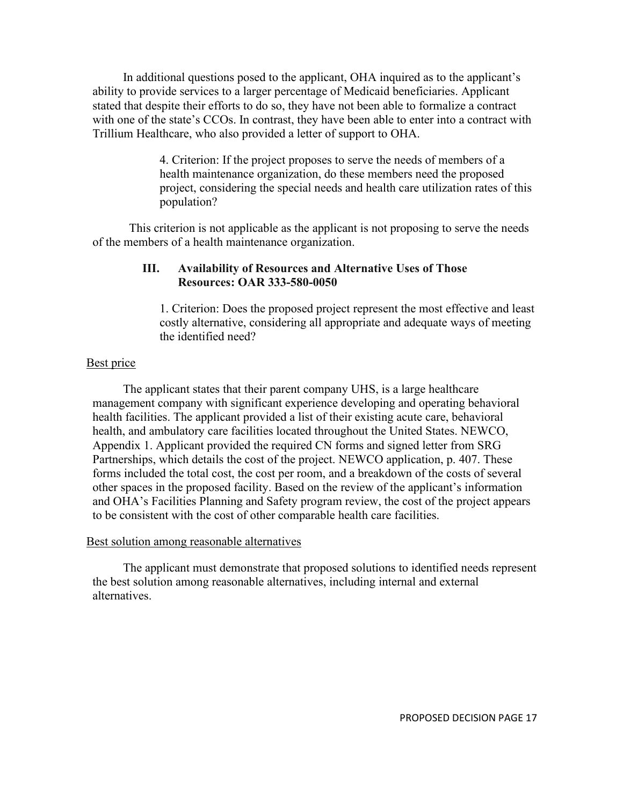In additional questions posed to the applicant, OHA inquired as to the applicant's ability to provide services to a larger percentage of Medicaid beneficiaries. Applicant stated that despite their efforts to do so, they have not been able to formalize a contract with one of the state's CCOs. In contrast, they have been able to enter into a contract with Trillium Healthcare, who also provided a letter of support to OHA.

> 4. Criterion: If the project proposes to serve the needs of members of a health maintenance organization, do these members need the proposed project, considering the special needs and health care utilization rates of this population?

This criterion is not applicable as the applicant is not proposing to serve the needs of the members of a health maintenance organization.

# **III. Availability of Resources and Alternative Uses of Those Resources: OAR 333-580-0050**

1. Criterion: Does the proposed project represent the most effective and least costly alternative, considering all appropriate and adequate ways of meeting the identified need?

# Best price

The applicant states that their parent company UHS, is a large healthcare management company with significant experience developing and operating behavioral health facilities. The applicant provided a list of their existing acute care, behavioral health, and ambulatory care facilities located throughout the United States. NEWCO, Appendix 1. Applicant provided the required CN forms and signed letter from SRG Partnerships, which details the cost of the project. NEWCO application, p. 407. These forms included the total cost, the cost per room, and a breakdown of the costs of several other spaces in the proposed facility. Based on the review of the applicant's information and OHA's Facilities Planning and Safety program review, the cost of the project appears to be consistent with the cost of other comparable health care facilities.

## Best solution among reasonable alternatives

The applicant must demonstrate that proposed solutions to identified needs represent the best solution among reasonable alternatives, including internal and external alternatives.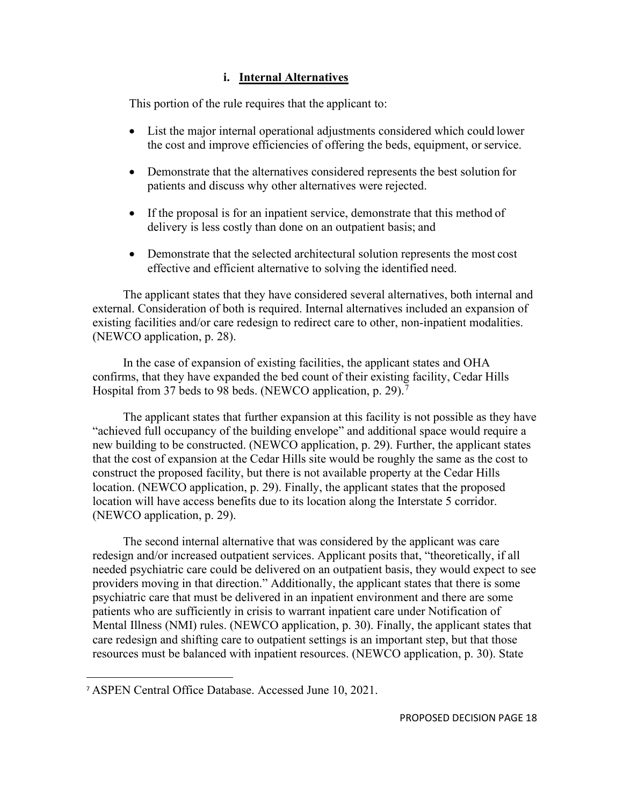# **i. Internal Alternatives**

This portion of the rule requires that the applicant to:

- List the major internal operational adjustments considered which could lower the cost and improve efficiencies of offering the beds, equipment, or service.
- Demonstrate that the alternatives considered represents the best solution for patients and discuss why other alternatives were rejected.
- If the proposal is for an inpatient service, demonstrate that this method of delivery is less costly than done on an outpatient basis; and
- Demonstrate that the selected architectural solution represents the most cost effective and efficient alternative to solving the identified need.

The applicant states that they have considered several alternatives, both internal and external. Consideration of both is required. Internal alternatives included an expansion of existing facilities and/or care redesign to redirect care to other, non-inpatient modalities. (NEWCO application, p. 28).

In the case of expansion of existing facilities, the applicant states and OHA confirms, that they have expanded the bed count of their existing facility, Cedar Hills Hospital from 3[7](#page-17-0) beds to 98 beds. (NEWCO application, p. 29).<sup>7</sup>

The applicant states that further expansion at this facility is not possible as they have "achieved full occupancy of the building envelope" and additional space would require a new building to be constructed. (NEWCO application, p. 29). Further, the applicant states that the cost of expansion at the Cedar Hills site would be roughly the same as the cost to construct the proposed facility, but there is not available property at the Cedar Hills location. (NEWCO application, p. 29). Finally, the applicant states that the proposed location will have access benefits due to its location along the Interstate 5 corridor. (NEWCO application, p. 29).

The second internal alternative that was considered by the applicant was care redesign and/or increased outpatient services. Applicant posits that, "theoretically, if all needed psychiatric care could be delivered on an outpatient basis, they would expect to see providers moving in that direction." Additionally, the applicant states that there is some psychiatric care that must be delivered in an inpatient environment and there are some patients who are sufficiently in crisis to warrant inpatient care under Notification of Mental Illness (NMI) rules. (NEWCO application, p. 30). Finally, the applicant states that care redesign and shifting care to outpatient settings is an important step, but that those resources must be balanced with inpatient resources. (NEWCO application, p. 30). State

<span id="page-17-0"></span><sup>7</sup> ASPEN Central Office Database. Accessed June 10, 2021.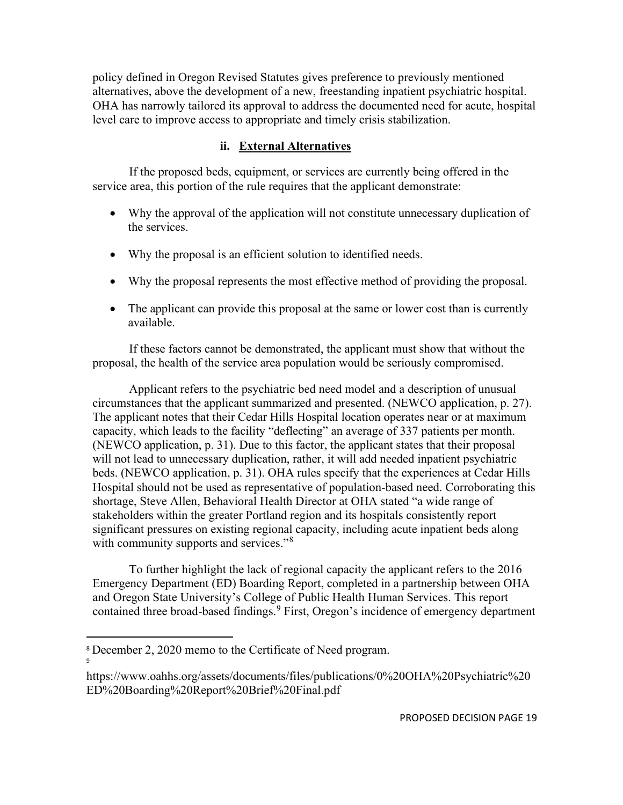policy defined in Oregon Revised Statutes gives preference to previously mentioned alternatives, above the development of a new, freestanding inpatient psychiatric hospital. OHA has narrowly tailored its approval to address the documented need for acute, hospital level care to improve access to appropriate and timely crisis stabilization.

# **ii. External Alternatives**

If the proposed beds, equipment, or services are currently being offered in the service area, this portion of the rule requires that the applicant demonstrate:

- Why the approval of the application will not constitute unnecessary duplication of the services.
- Why the proposal is an efficient solution to identified needs.
- Why the proposal represents the most effective method of providing the proposal.
- The applicant can provide this proposal at the same or lower cost than is currently available.

If these factors cannot be demonstrated, the applicant must show that without the proposal, the health of the service area population would be seriously compromised.

Applicant refers to the psychiatric bed need model and a description of unusual circumstances that the applicant summarized and presented. (NEWCO application, p. 27). The applicant notes that their Cedar Hills Hospital location operates near or at maximum capacity, which leads to the facility "deflecting" an average of 337 patients per month. (NEWCO application, p. 31). Due to this factor, the applicant states that their proposal will not lead to unnecessary duplication, rather, it will add needed inpatient psychiatric beds. (NEWCO application, p. 31). OHA rules specify that the experiences at Cedar Hills Hospital should not be used as representative of population-based need. Corroborating this shortage, Steve Allen, Behavioral Health Director at OHA stated "a wide range of stakeholders within the greater Portland region and its hospitals consistently report significant pressures on existing regional capacity, including acute inpatient beds along with community supports and services."<sup>[8](#page-18-0)</sup>

To further highlight the lack of regional capacity the applicant refers to the 2016 Emergency Department (ED) Boarding Report, completed in a partnership between OHA and Oregon State University's College of Public Health Human Services. This report contained three broad-based findings.<sup>[9](#page-18-1)</sup> First, Oregon's incidence of emergency department

9

<span id="page-18-0"></span><sup>8</sup> December 2, 2020 memo to the Certificate of Need program.

<span id="page-18-1"></span>https://www.oahhs.org/assets/documents/files/publications/0%20OHA%20Psychiatric%20 ED%20Boarding%20Report%20Brief%20Final.pdf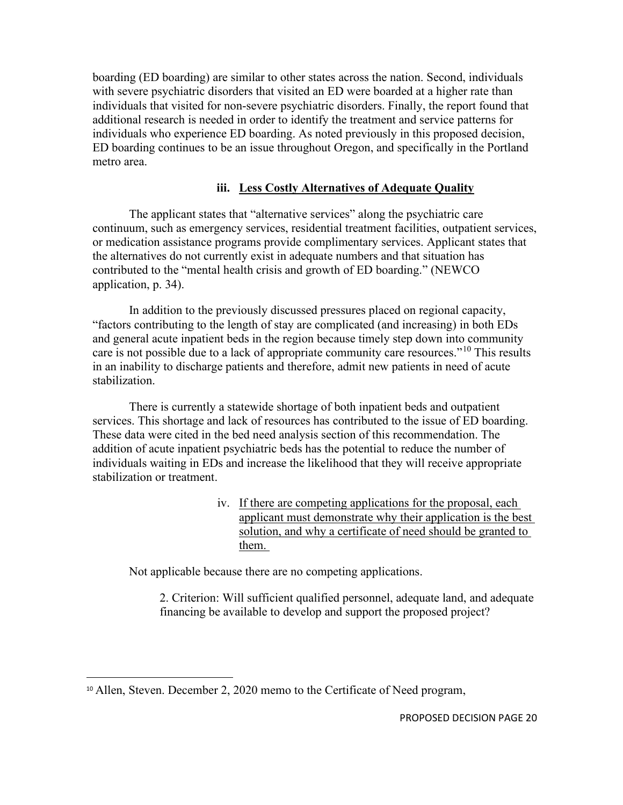boarding (ED boarding) are similar to other states across the nation. Second, individuals with severe psychiatric disorders that visited an ED were boarded at a higher rate than individuals that visited for non-severe psychiatric disorders. Finally, the report found that additional research is needed in order to identify the treatment and service patterns for individuals who experience ED boarding. As noted previously in this proposed decision, ED boarding continues to be an issue throughout Oregon, and specifically in the Portland metro area.

# **iii. Less Costly Alternatives of Adequate Quality**

The applicant states that "alternative services" along the psychiatric care continuum, such as emergency services, residential treatment facilities, outpatient services, or medication assistance programs provide complimentary services. Applicant states that the alternatives do not currently exist in adequate numbers and that situation has contributed to the "mental health crisis and growth of ED boarding." (NEWCO application, p. 34).

In addition to the previously discussed pressures placed on regional capacity, "factors contributing to the length of stay are complicated (and increasing) in both EDs and general acute inpatient beds in the region because timely step down into community care is not possible due to a lack of appropriate community care resources."[10](#page-19-0) This results in an inability to discharge patients and therefore, admit new patients in need of acute stabilization.

There is currently a statewide shortage of both inpatient beds and outpatient services. This shortage and lack of resources has contributed to the issue of ED boarding. These data were cited in the bed need analysis section of this recommendation. The addition of acute inpatient psychiatric beds has the potential to reduce the number of individuals waiting in EDs and increase the likelihood that they will receive appropriate stabilization or treatment.

> iv. If there are competing applications for the proposal, each applicant must demonstrate why their application is the best solution, and why a certificate of need should be granted to them.

Not applicable because there are no competing applications.

2. Criterion: Will sufficient qualified personnel, adequate land, and adequate financing be available to develop and support the proposed project?

<span id="page-19-0"></span><sup>&</sup>lt;sup>10</sup> Allen, Steven. December 2, 2020 memo to the Certificate of Need program,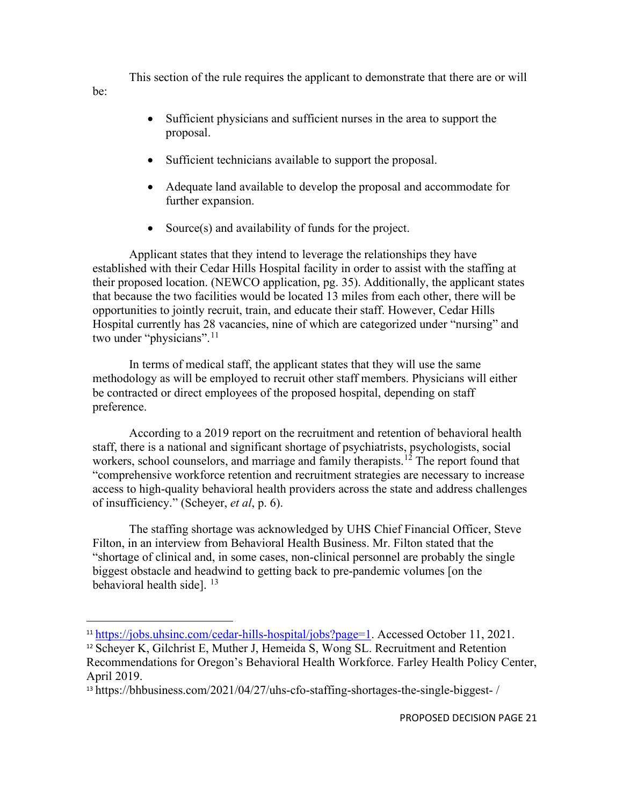This section of the rule requires the applicant to demonstrate that there are or will

- Sufficient physicians and sufficient nurses in the area to support the proposal.
- Sufficient technicians available to support the proposal.

be:

- Adequate land available to develop the proposal and accommodate for further expansion.
- Source(s) and availability of funds for the project.

Applicant states that they intend to leverage the relationships they have established with their Cedar Hills Hospital facility in order to assist with the staffing at their proposed location. (NEWCO application, pg. 35). Additionally, the applicant states that because the two facilities would be located 13 miles from each other, there will be opportunities to jointly recruit, train, and educate their staff. However, Cedar Hills Hospital currently has 28 vacancies, nine of which are categorized under "nursing" and two under "physicians".<sup>[11](#page-20-0)</sup>

In terms of medical staff, the applicant states that they will use the same methodology as will be employed to recruit other staff members. Physicians will either be contracted or direct employees of the proposed hospital, depending on staff preference.

According to a 2019 report on the recruitment and retention of behavioral health staff, there is a national and significant shortage of psychiatrists, psychologists, social workers, school counselors, and marriage and family therapists.<sup>[12](#page-20-1)</sup> The report found that "comprehensive workforce retention and recruitment strategies are necessary to increase access to high-quality behavioral health providers across the state and address challenges of insufficiency." (Scheyer, *et al*, p. 6).

The staffing shortage was acknowledged by UHS Chief Financial Officer, Steve Filton, in an interview from Behavioral Health Business. Mr. Filton stated that the "shortage of clinical and, in some cases, non-clinical personnel are probably the single biggest obstacle and headwind to getting back to pre-pandemic volumes [on the behavioral health side].  $13$ 

<span id="page-20-0"></span><sup>&</sup>lt;sup>11</sup> [https://jobs.uhsinc.com/cedar-hills-hospital/jobs?page=1.](https://jobs.uhsinc.com/cedar-hills-hospital/jobs?page=1) Accessed October 11, 2021.

<span id="page-20-1"></span><sup>12</sup> Scheyer K, Gilchrist E, Muther J, Hemeida S, Wong SL. Recruitment and Retention Recommendations for Oregon's Behavioral Health Workforce. Farley Health Policy Center, April 2019.

<span id="page-20-2"></span><sup>13</sup> https://bhbusiness.com/2021/04/27/uhs-cfo-staffing-shortages-the-single-biggest- /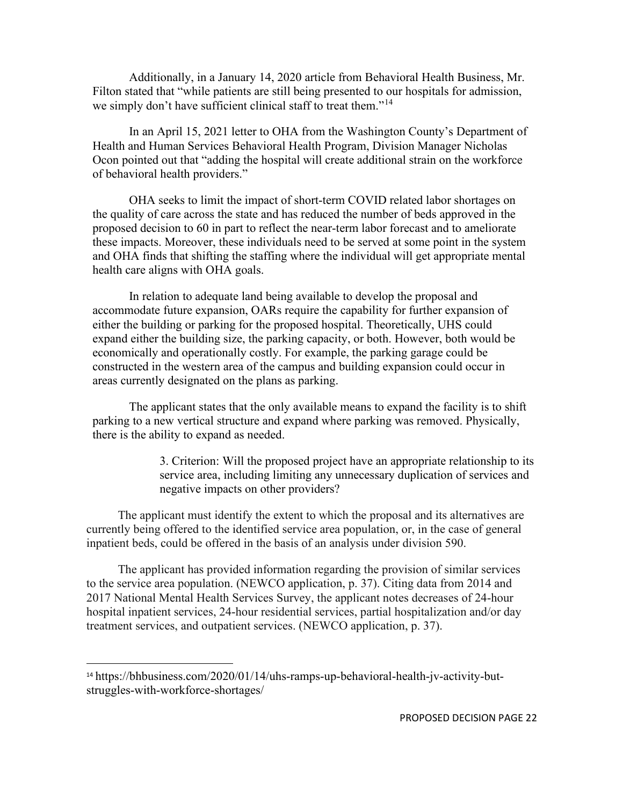Additionally, in a January 14, 2020 article from Behavioral Health Business, Mr. Filton stated that "while patients are still being presented to our hospitals for admission, we simply don't have sufficient clinical staff to treat them."<sup>[14](#page-21-0)</sup>

In an April 15, 2021 letter to OHA from the Washington County's Department of Health and Human Services Behavioral Health Program, Division Manager Nicholas Ocon pointed out that "adding the hospital will create additional strain on the workforce of behavioral health providers."

OHA seeks to limit the impact of short-term COVID related labor shortages on the quality of care across the state and has reduced the number of beds approved in the proposed decision to 60 in part to reflect the near-term labor forecast and to ameliorate these impacts. Moreover, these individuals need to be served at some point in the system and OHA finds that shifting the staffing where the individual will get appropriate mental health care aligns with OHA goals.

In relation to adequate land being available to develop the proposal and accommodate future expansion, OARs require the capability for further expansion of either the building or parking for the proposed hospital. Theoretically, UHS could expand either the building size, the parking capacity, or both. However, both would be economically and operationally costly. For example, the parking garage could be constructed in the western area of the campus and building expansion could occur in areas currently designated on the plans as parking.

The applicant states that the only available means to expand the facility is to shift parking to a new vertical structure and expand where parking was removed. Physically, there is the ability to expand as needed.

> 3. Criterion: Will the proposed project have an appropriate relationship to its service area, including limiting any unnecessary duplication of services and negative impacts on other providers?

The applicant must identify the extent to which the proposal and its alternatives are currently being offered to the identified service area population, or, in the case of general inpatient beds, could be offered in the basis of an analysis under division 590.

The applicant has provided information regarding the provision of similar services to the service area population. (NEWCO application, p. 37). Citing data from 2014 and 2017 National Mental Health Services Survey, the applicant notes decreases of 24-hour hospital inpatient services, 24-hour residential services, partial hospitalization and/or day treatment services, and outpatient services. (NEWCO application, p. 37).

<span id="page-21-0"></span><sup>&</sup>lt;sup>14</sup> https://bhbusiness.com/2020/01/14/uhs-ramps-up-behavioral-health-jv-activity-butstruggles-with-workforce-shortages/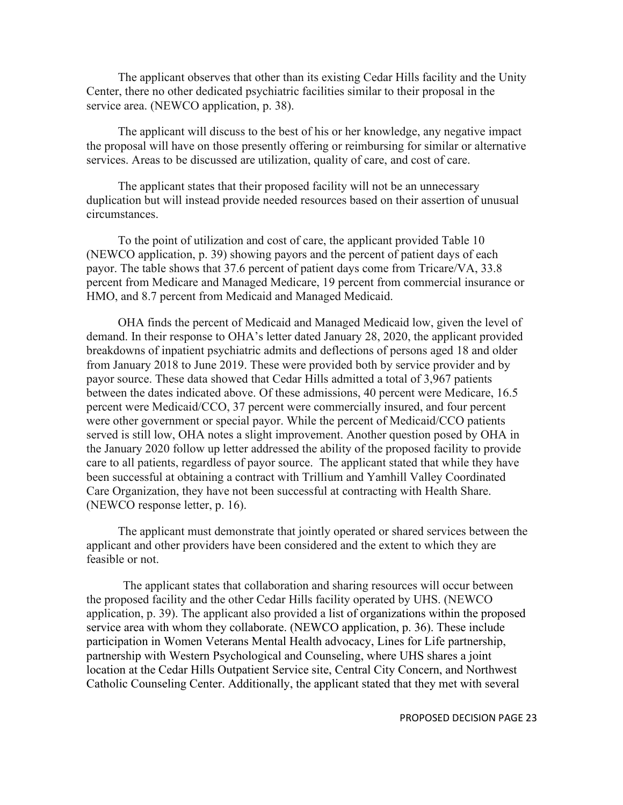The applicant observes that other than its existing Cedar Hills facility and the Unity Center, there no other dedicated psychiatric facilities similar to their proposal in the service area. (NEWCO application, p. 38).

The applicant will discuss to the best of his or her knowledge, any negative impact the proposal will have on those presently offering or reimbursing for similar or alternative services. Areas to be discussed are utilization, quality of care, and cost of care.

The applicant states that their proposed facility will not be an unnecessary duplication but will instead provide needed resources based on their assertion of unusual circumstances.

To the point of utilization and cost of care, the applicant provided Table 10 (NEWCO application, p. 39) showing payors and the percent of patient days of each payor. The table shows that 37.6 percent of patient days come from Tricare/VA, 33.8 percent from Medicare and Managed Medicare, 19 percent from commercial insurance or HMO, and 8.7 percent from Medicaid and Managed Medicaid.

OHA finds the percent of Medicaid and Managed Medicaid low, given the level of demand. In their response to OHA's letter dated January 28, 2020, the applicant provided breakdowns of inpatient psychiatric admits and deflections of persons aged 18 and older from January 2018 to June 2019. These were provided both by service provider and by payor source. These data showed that Cedar Hills admitted a total of 3,967 patients between the dates indicated above. Of these admissions, 40 percent were Medicare, 16.5 percent were Medicaid/CCO, 37 percent were commercially insured, and four percent were other government or special payor. While the percent of Medicaid/CCO patients served is still low, OHA notes a slight improvement. Another question posed by OHA in the January 2020 follow up letter addressed the ability of the proposed facility to provide care to all patients, regardless of payor source. The applicant stated that while they have been successful at obtaining a contract with Trillium and Yamhill Valley Coordinated Care Organization, they have not been successful at contracting with Health Share. (NEWCO response letter, p. 16).

The applicant must demonstrate that jointly operated or shared services between the applicant and other providers have been considered and the extent to which they are feasible or not.

The applicant states that collaboration and sharing resources will occur between the proposed facility and the other Cedar Hills facility operated by UHS. (NEWCO application, p. 39). The applicant also provided a list of organizations within the proposed service area with whom they collaborate. (NEWCO application, p. 36). These include participation in Women Veterans Mental Health advocacy, Lines for Life partnership, partnership with Western Psychological and Counseling, where UHS shares a joint location at the Cedar Hills Outpatient Service site, Central City Concern, and Northwest Catholic Counseling Center. Additionally, the applicant stated that they met with several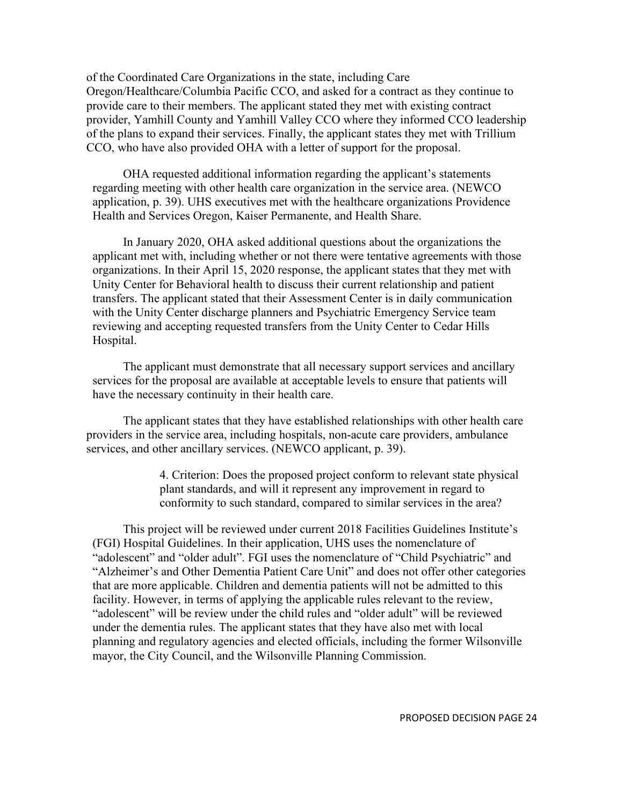of the Coordinated Care Organizations in the state, including Care Oregon/Healthcare/Columbia Pacific CCO, and asked for a contract as they continue to provide care to their members. The applicant stated they met with existing contract provider, Yamhill County and Yamhill Valley CCO where they informed CCO leadership of the plans to expand their services. Finally, the applicant states they met with Trillium CCO, who have also provided OHA with a letter of support for the proposal.

OHA requested additional information regarding the applicant's statements regarding meeting with other health care organization in the service area. (NEWCO application, p. 39). UHS executives met with the healthcare organizations Providence Health and Services Oregon, Kaiser Permanente, and Health Share.

In January 2020, OHA asked additional questions about the organizations the applicant met with, including whether or not there were tentative agreements with those organizations. In their April 15, 2020 response, the applicant states that they met with Unity Center for Behavioral health to discuss their current relationship and patient transfers. The applicant stated that their Assessment Center is in daily communication with the Unity Center discharge planners and Psychiatric Emergency Service team reviewing and accepting requested transfers from the Unity Center to Cedar Hills Hospital.

The applicant must demonstrate that all necessary support services and ancillary services for the proposal are available at acceptable levels to ensure that patients will have the necessary continuity in their health care.

The applicant states that they have established relationships with other health care providers in the service area, including hospitals, non-acute care providers, ambulance services, and other ancillary services. (NEWCO applicant, p. 39).

> 4. Criterion: Does the proposed project conform to relevant state physical plant standards, and will it represent any improvement in regard to conformity to such standard, compared to similar services in the area?

This project will be reviewed under current 2018 Facilities Guidelines Institute's (FGI) Hospital Guidelines. In their application, UHS uses the nomenclature of "adolescent" and "older adult". FGI uses the nomenclature of "Child Psychiatric" and "Alzheimer's and Other Dementia Patient Care Unit" and does not offer other categories that are more applicable. Children and dementia patients will not be admitted to this facility. However, in terms of applying the applicable rules relevant to the review, "adolescent" will be review under the child rules and "older adult" will be reviewed under the dementia rules. The applicant states that they have also met with local planning and regulatory agencies and elected officials, including the former Wilsonville mayor, the City Council, and the Wilsonville Planning Commission.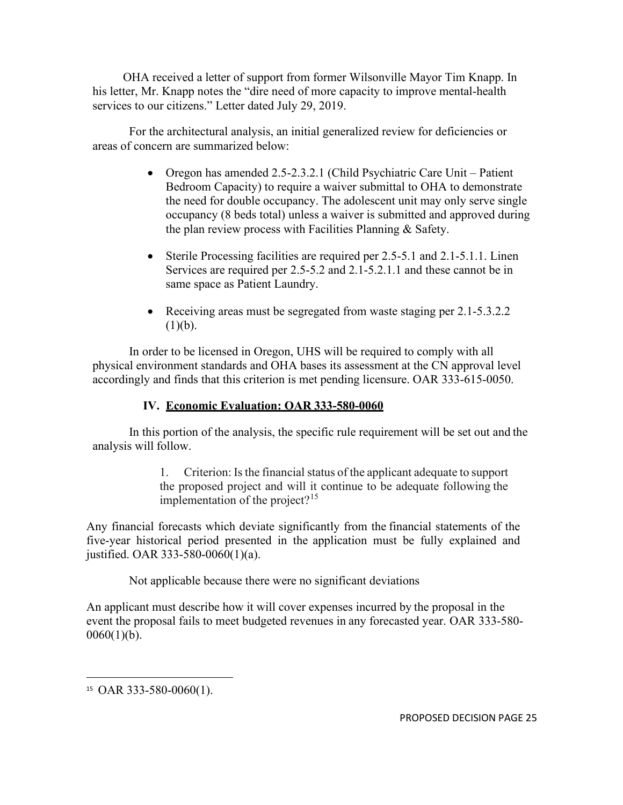OHA received a letter of support from former Wilsonville Mayor Tim Knapp. In his letter, Mr. Knapp notes the "dire need of more capacity to improve mental-health services to our citizens." Letter dated July 29, 2019.

For the architectural analysis, an initial generalized review for deficiencies or areas of concern are summarized below:

- Oregon has amended 2.5-2.3.2.1 (Child Psychiatric Care Unit Patient Bedroom Capacity) to require a waiver submittal to OHA to demonstrate the need for double occupancy. The adolescent unit may only serve single occupancy (8 beds total) unless a waiver is submitted and approved during the plan review process with Facilities Planning & Safety.
- Sterile Processing facilities are required per 2.5-5.1 and 2.1-5.1.1. Linen Services are required per 2.5-5.2 and 2.1-5.2.1.1 and these cannot be in same space as Patient Laundry.
- Receiving areas must be segregated from waste staging per 2.1-5.3.2.2  $(1)(b)$ .

In order to be licensed in Oregon, UHS will be required to comply with all physical environment standards and OHA bases its assessment at the CN approval level accordingly and finds that this criterion is met pending licensure. OAR 333-615-0050.

# **IV. Economic Evaluation: OAR 333-580-0060**

In this portion of the analysis, the specific rule requirement will be set out and the analysis will follow.

> 1. Criterion: Is the financial status of the applicant adequate to support the proposed project and will it continue to be adequate following the implementation of the project? $15$

Any financial forecasts which deviate significantly from the financial statements of the five-year historical period presented in the application must be fully explained and justified. OAR 333-580-0060(1)(a).

Not applicable because there were no significant deviations

An applicant must describe how it will cover expenses incurred by the proposal in the event the proposal fails to meet budgeted revenues in any forecasted year. OAR 333-580-  $0060(1)(b)$ .

PROPOSED DECISION PAGE 25

<span id="page-24-0"></span><sup>15</sup> OAR 333-580-0060(1).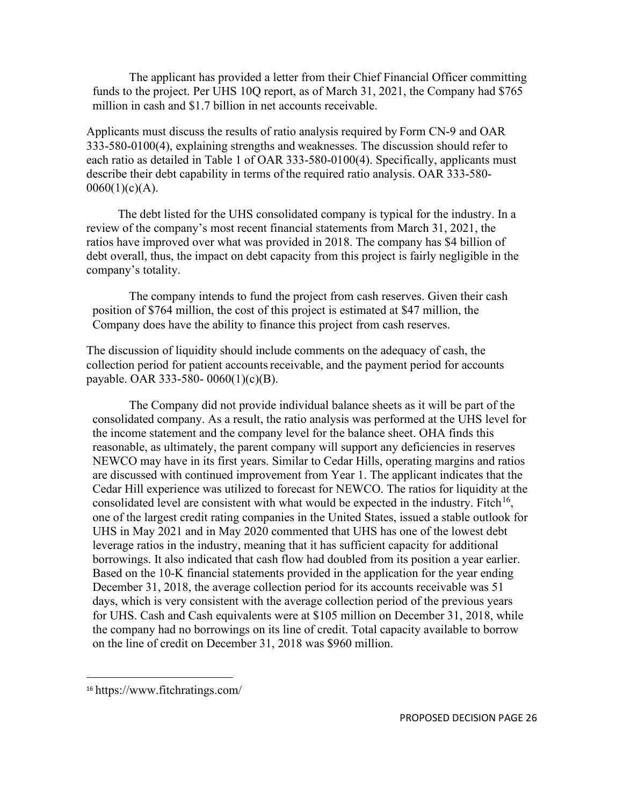The applicant has provided a letter from their Chief Financial Officer committing funds to the project. Per UHS 10Q report, as of March 31, 2021, the Company had \$765 million in cash and \$1.7 billion in net accounts receivable.

Applicants must discuss the results of ratio analysis required by Form CN-9 and OAR 333-580-0100(4), explaining strengths and weaknesses. The discussion should refer to each ratio as detailed in Table 1 of OAR 333-580-0100(4). Specifically, applicants must describe their debt capability in terms of the required ratio analysis. OAR 333-580-  $0060(1)(c)(A)$ .

The debt listed for the UHS consolidated company is typical for the industry. In a review of the company's most recent financial statements from March 31, 2021, the ratios have improved over what was provided in 2018. The company has \$4 billion of debt overall, thus, the impact on debt capacity from this project is fairly negligible in the company's totality.

The company intends to fund the project from cash reserves. Given their cash position of \$764 million, the cost of this project is estimated at \$47 million, the Company does have the ability to finance this project from cash reserves.

The discussion of liquidity should include comments on the adequacy of cash, the collection period for patient accounts receivable, and the payment period for accounts payable. OAR 333-580- 0060(1)(c)(B).

The Company did not provide individual balance sheets as it will be part of the consolidated company. As a result, the ratio analysis was performed at the UHS level for the income statement and the company level for the balance sheet. OHA finds this reasonable, as ultimately, the parent company will support any deficiencies in reserves NEWCO may have in its first years. Similar to Cedar Hills, operating margins and ratios are discussed with continued improvement from Year 1. The applicant indicates that the Cedar Hill experience was utilized to forecast for NEWCO. The ratios for liquidity at the consolidated level are consistent with what would be expected in the industry. Fitch<sup>16</sup>, one of the largest credit rating companies in the United States, issued a stable outlook for UHS in May 2021 and in May 2020 commented that UHS has one of the lowest debt leverage ratios in the industry, meaning that it has sufficient capacity for additional borrowings. It also indicated that cash flow had doubled from its position a year earlier. Based on the 10-K financial statements provided in the application for the year ending December 31, 2018, the average collection period for its accounts receivable was 51 days, which is very consistent with the average collection period of the previous years for UHS. Cash and Cash equivalents were at \$105 million on December 31, 2018, while the company had no borrowings on its line of credit. Total capacity available to borrow on the line of credit on December 31, 2018 was \$960 million.

<span id="page-25-0"></span><sup>16</sup> https://www.fitchratings.com/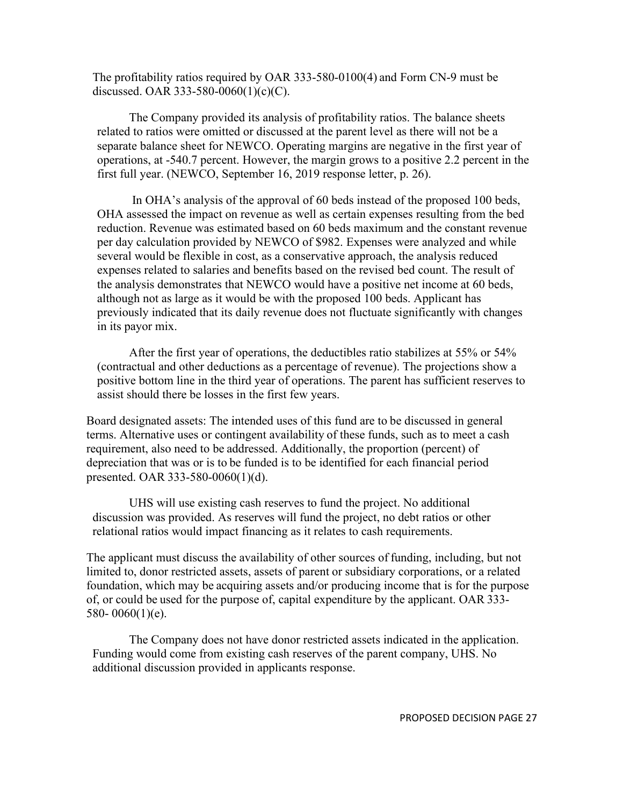The profitability ratios required by OAR 333-580-0100(4) and Form CN-9 must be discussed. OAR 333-580-0060(1)(c)(C).

The Company provided its analysis of profitability ratios. The balance sheets related to ratios were omitted or discussed at the parent level as there will not be a separate balance sheet for NEWCO. Operating margins are negative in the first year of operations, at -540.7 percent. However, the margin grows to a positive 2.2 percent in the first full year. (NEWCO, September 16, 2019 response letter, p. 26).

In OHA's analysis of the approval of 60 beds instead of the proposed 100 beds, OHA assessed the impact on revenue as well as certain expenses resulting from the bed reduction. Revenue was estimated based on 60 beds maximum and the constant revenue per day calculation provided by NEWCO of \$982. Expenses were analyzed and while several would be flexible in cost, as a conservative approach, the analysis reduced expenses related to salaries and benefits based on the revised bed count. The result of the analysis demonstrates that NEWCO would have a positive net income at 60 beds, although not as large as it would be with the proposed 100 beds. Applicant has previously indicated that its daily revenue does not fluctuate significantly with changes in its payor mix.

After the first year of operations, the deductibles ratio stabilizes at 55% or 54% (contractual and other deductions as a percentage of revenue). The projections show a positive bottom line in the third year of operations. The parent has sufficient reserves to assist should there be losses in the first few years.

Board designated assets: The intended uses of this fund are to be discussed in general terms. Alternative uses or contingent availability of these funds, such as to meet a cash requirement, also need to be addressed. Additionally, the proportion (percent) of depreciation that was or is to be funded is to be identified for each financial period presented. OAR 333-580-0060(1)(d).

UHS will use existing cash reserves to fund the project. No additional discussion was provided. As reserves will fund the project, no debt ratios or other relational ratios would impact financing as it relates to cash requirements.

The applicant must discuss the availability of other sources of funding, including, but not limited to, donor restricted assets, assets of parent or subsidiary corporations, or a related foundation, which may be acquiring assets and/or producing income that is for the purpose of, or could be used for the purpose of, capital expenditure by the applicant. OAR 333- 580- 0060(1)(e).

The Company does not have donor restricted assets indicated in the application. Funding would come from existing cash reserves of the parent company, UHS. No additional discussion provided in applicants response.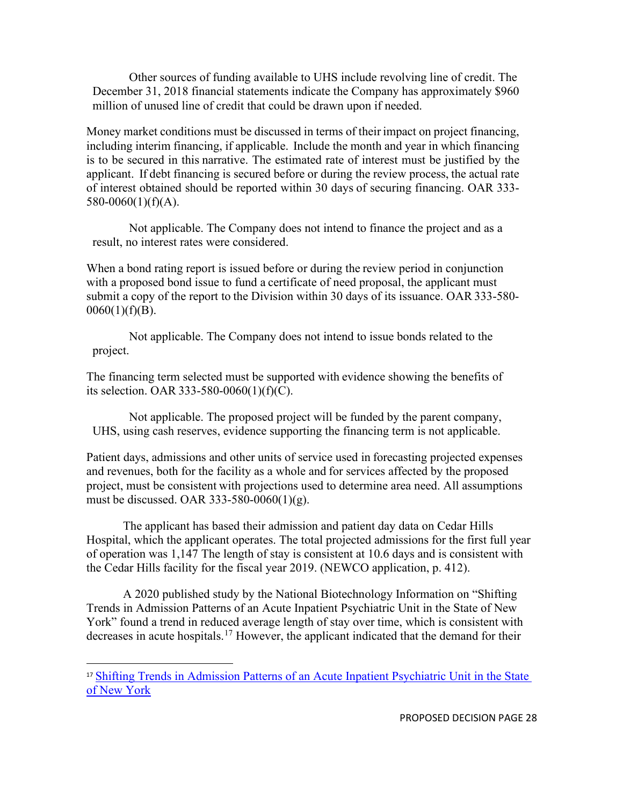Other sources of funding available to UHS include revolving line of credit. The December 31, 2018 financial statements indicate the Company has approximately \$960 million of unused line of credit that could be drawn upon if needed.

Money market conditions must be discussed in terms of their impact on project financing, including interim financing, if applicable. Include the month and year in which financing is to be secured in this narrative. The estimated rate of interest must be justified by the applicant. If debt financing is secured before or during the review process, the actual rate of interest obtained should be reported within 30 days of securing financing. OAR 333-  $580-0060(1)(f)(A)$ .

Not applicable. The Company does not intend to finance the project and as a result, no interest rates were considered.

When a bond rating report is issued before or during the review period in conjunction with a proposed bond issue to fund a certificate of need proposal, the applicant must submit a copy of the report to the Division within 30 days of its issuance. OAR 333-580-  $0060(1)(f)(B)$ .

Not applicable. The Company does not intend to issue bonds related to the project.

The financing term selected must be supported with evidence showing the benefits of its selection. OAR 333-580-0060(1)(f)(C).

Not applicable. The proposed project will be funded by the parent company, UHS, using cash reserves, evidence supporting the financing term is not applicable.

Patient days, admissions and other units of service used in forecasting projected expenses and revenues, both for the facility as a whole and for services affected by the proposed project, must be consistent with projections used to determine area need. All assumptions must be discussed. OAR 333-580-0060(1)(g).

The applicant has based their admission and patient day data on Cedar Hills Hospital, which the applicant operates. The total projected admissions for the first full year of operation was 1,147 The length of stay is consistent at 10.6 days and is consistent with the Cedar Hills facility for the fiscal year 2019. (NEWCO application, p. 412).

A 2020 published study by the National Biotechnology Information on "Shifting Trends in Admission Patterns of an Acute Inpatient Psychiatric Unit in the State of New York" found a trend in reduced average length of stay over time, which is consistent with decreases in acute hospitals.[17](#page-27-0) However, the applicant indicated that the demand for their

<span id="page-27-0"></span><sup>&</sup>lt;sup>17</sup> Shifting Trends in Admission Patterns of an Acute Inpatient Psychiatric Unit in the State [of New York](https://www.cureus.com/articles/36215-shifting-trends-in-admission-patterns-of-an-acute-inpatient-psychiatric-unit-in-the-state-of-new-york)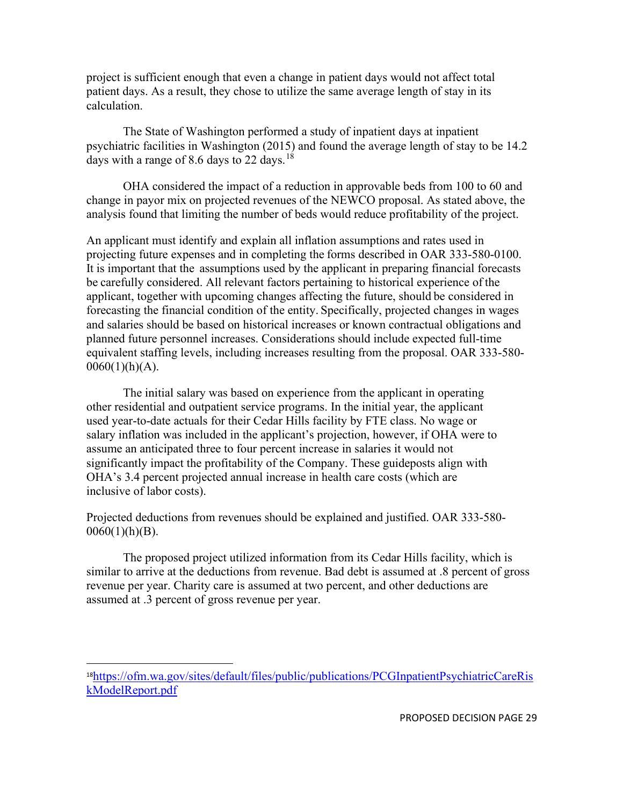project is sufficient enough that even a change in patient days would not affect total patient days. As a result, they chose to utilize the same average length of stay in its calculation.

The State of Washington performed a study of inpatient days at inpatient psychiatric facilities in Washington (2015) and found the average length of stay to be 14.2 days with a range of 8.6 days to 22 days.<sup>[18](#page-28-0)</sup>

OHA considered the impact of a reduction in approvable beds from 100 to 60 and change in payor mix on projected revenues of the NEWCO proposal. As stated above, the analysis found that limiting the number of beds would reduce profitability of the project.

An applicant must identify and explain all inflation assumptions and rates used in projecting future expenses and in completing the forms described in OAR 333-580-0100. It is important that the assumptions used by the applicant in preparing financial forecasts be carefully considered. All relevant factors pertaining to historical experience of the applicant, together with upcoming changes affecting the future, should be considered in forecasting the financial condition of the entity. Specifically, projected changes in wages and salaries should be based on historical increases or known contractual obligations and planned future personnel increases. Considerations should include expected full-time equivalent staffing levels, including increases resulting from the proposal. OAR 333-580-  $0060(1)(h)(A)$ .

The initial salary was based on experience from the applicant in operating other residential and outpatient service programs. In the initial year, the applicant used year-to-date actuals for their Cedar Hills facility by FTE class. No wage or salary inflation was included in the applicant's projection, however, if OHA were to assume an anticipated three to four percent increase in salaries it would not significantly impact the profitability of the Company. These guideposts align with OHA's 3.4 percent projected annual increase in health care costs (which are inclusive of labor costs).

Projected deductions from revenues should be explained and justified. OAR 333-580-  $0060(1)(h)(B)$ .

The proposed project utilized information from its Cedar Hills facility, which is similar to arrive at the deductions from revenue. Bad debt is assumed at .8 percent of gross revenue per year. Charity care is assumed at two percent, and other deductions are assumed at .3 percent of gross revenue per year.

<span id="page-28-0"></span><sup>18</sup>[https://ofm.wa.gov/sites/default/files/public/publications/PCGInpatientPsychiatricCareRis](https://ofm.wa.gov/sites/default/files/public/publications/PCGInpatientPsychiatricCareRiskModelReport.pdf) [kModelReport.pdf](https://ofm.wa.gov/sites/default/files/public/publications/PCGInpatientPsychiatricCareRiskModelReport.pdf)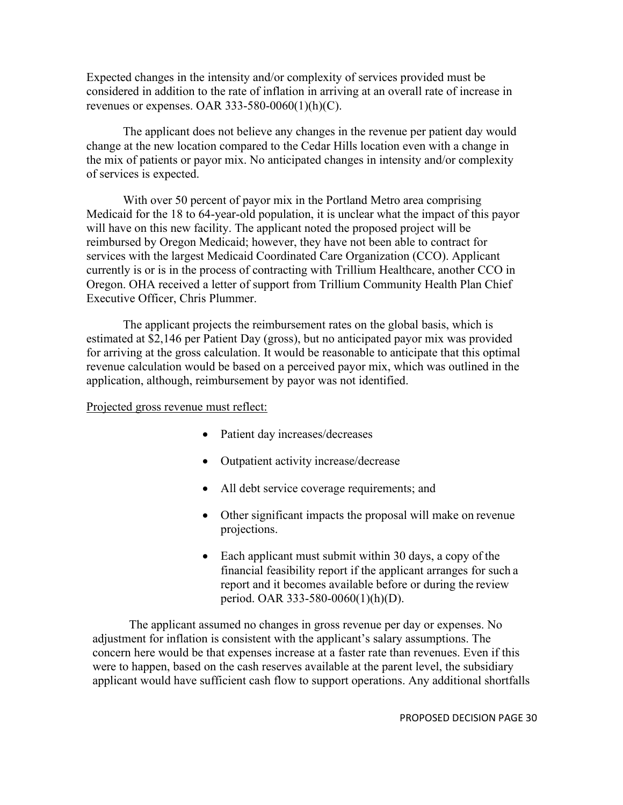Expected changes in the intensity and/or complexity of services provided must be considered in addition to the rate of inflation in arriving at an overall rate of increase in revenues or expenses. OAR 333-580-0060(1)(h)(C).

The applicant does not believe any changes in the revenue per patient day would change at the new location compared to the Cedar Hills location even with a change in the mix of patients or payor mix. No anticipated changes in intensity and/or complexity of services is expected.

With over 50 percent of payor mix in the Portland Metro area comprising Medicaid for the 18 to 64-year-old population, it is unclear what the impact of this payor will have on this new facility. The applicant noted the proposed project will be reimbursed by Oregon Medicaid; however, they have not been able to contract for services with the largest Medicaid Coordinated Care Organization (CCO). Applicant currently is or is in the process of contracting with Trillium Healthcare, another CCO in Oregon. OHA received a letter of support from Trillium Community Health Plan Chief Executive Officer, Chris Plummer.

The applicant projects the reimbursement rates on the global basis, which is estimated at \$2,146 per Patient Day (gross), but no anticipated payor mix was provided for arriving at the gross calculation. It would be reasonable to anticipate that this optimal revenue calculation would be based on a perceived payor mix, which was outlined in the application, although, reimbursement by payor was not identified.

### Projected gross revenue must reflect:

- Patient day increases/decreases
- Outpatient activity increase/decrease
- All debt service coverage requirements; and
- Other significant impacts the proposal will make on revenue projections.
- Each applicant must submit within 30 days, a copy of the financial feasibility report if the applicant arranges for such a report and it becomes available before or during the review period. OAR 333-580-0060(1)(h)(D).

The applicant assumed no changes in gross revenue per day or expenses. No adjustment for inflation is consistent with the applicant's salary assumptions. The concern here would be that expenses increase at a faster rate than revenues. Even if this were to happen, based on the cash reserves available at the parent level, the subsidiary applicant would have sufficient cash flow to support operations. Any additional shortfalls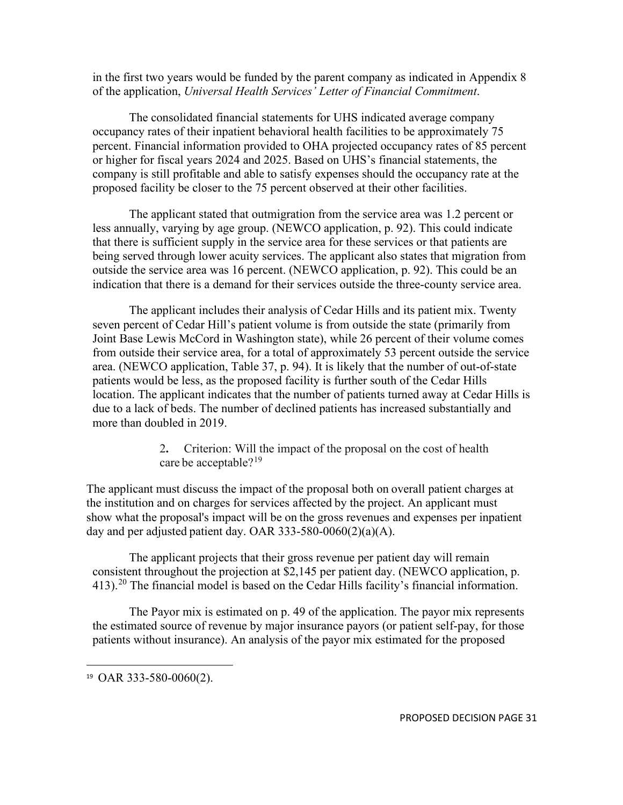in the first two years would be funded by the parent company as indicated in Appendix 8 of the application, *Universal Health Services' Letter of Financial Commitment*.

The consolidated financial statements for UHS indicated average company occupancy rates of their inpatient behavioral health facilities to be approximately 75 percent. Financial information provided to OHA projected occupancy rates of 85 percent or higher for fiscal years 2024 and 2025. Based on UHS's financial statements, the company is still profitable and able to satisfy expenses should the occupancy rate at the proposed facility be closer to the 75 percent observed at their other facilities.

The applicant stated that outmigration from the service area was 1.2 percent or less annually, varying by age group. (NEWCO application, p. 92). This could indicate that there is sufficient supply in the service area for these services or that patients are being served through lower acuity services. The applicant also states that migration from outside the service area was 16 percent. (NEWCO application, p. 92). This could be an indication that there is a demand for their services outside the three-county service area.

The applicant includes their analysis of Cedar Hills and its patient mix. Twenty seven percent of Cedar Hill's patient volume is from outside the state (primarily from Joint Base Lewis McCord in Washington state), while 26 percent of their volume comes from outside their service area, for a total of approximately 53 percent outside the service area. (NEWCO application, Table 37, p. 94). It is likely that the number of out-of-state patients would be less, as the proposed facility is further south of the Cedar Hills location. The applicant indicates that the number of patients turned away at Cedar Hills is due to a lack of beds. The number of declined patients has increased substantially and more than doubled in 2019.

> 2**.** Criterion: Will the impact of the proposal on the cost of health care be acceptable?<sup>[19](#page-30-0)</sup>

The applicant must discuss the impact of the proposal both on overall patient charges at the institution and on charges for services affected by the project. An applicant must show what the proposal's impact will be on the gross revenues and expenses per inpatient day and per adjusted patient day. OAR 333-580-0060(2)(a)(A).

The applicant projects that their gross revenue per patient day will remain consistent throughout the projection at \$2,145 per patient day. (NEWCO application, p. 413).<sup>[20](#page-30-1)</sup> The financial model is based on the Cedar Hills facility's financial information.

The Payor mix is estimated on p. 49 of the application. The payor mix represents the estimated source of revenue by major insurance payors (or patient self-pay, for those patients without insurance). An analysis of the payor mix estimated for the proposed

<span id="page-30-1"></span><span id="page-30-0"></span><sup>19</sup> OAR 333-580-0060(2).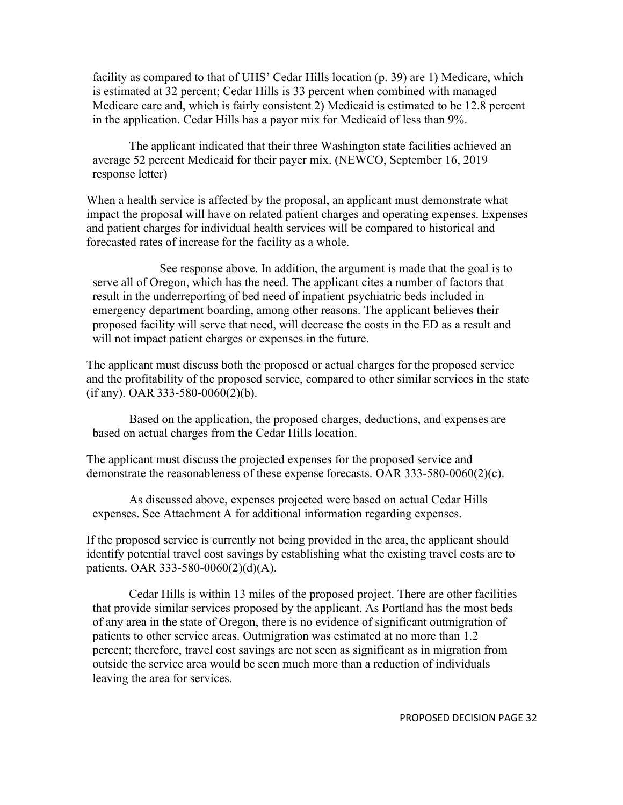facility as compared to that of UHS' Cedar Hills location (p. 39) are 1) Medicare, which is estimated at 32 percent; Cedar Hills is 33 percent when combined with managed Medicare care and, which is fairly consistent 2) Medicaid is estimated to be 12.8 percent in the application. Cedar Hills has a payor mix for Medicaid of less than 9%.

The applicant indicated that their three Washington state facilities achieved an average 52 percent Medicaid for their payer mix. (NEWCO, September 16, 2019 response letter)

When a health service is affected by the proposal, an applicant must demonstrate what impact the proposal will have on related patient charges and operating expenses. Expenses and patient charges for individual health services will be compared to historical and forecasted rates of increase for the facility as a whole.

See response above. In addition, the argument is made that the goal is to serve all of Oregon, which has the need. The applicant cites a number of factors that result in the underreporting of bed need of inpatient psychiatric beds included in emergency department boarding, among other reasons. The applicant believes their proposed facility will serve that need, will decrease the costs in the ED as a result and will not impact patient charges or expenses in the future.

The applicant must discuss both the proposed or actual charges for the proposed service and the profitability of the proposed service, compared to other similar services in the state (if any). OAR 333-580-0060(2)(b).

Based on the application, the proposed charges, deductions, and expenses are based on actual charges from the Cedar Hills location.

The applicant must discuss the projected expenses for the proposed service and demonstrate the reasonableness of these expense forecasts. OAR 333-580-0060(2)(c).

As discussed above, expenses projected were based on actual Cedar Hills expenses. See Attachment A for additional information regarding expenses.

If the proposed service is currently not being provided in the area, the applicant should identify potential travel cost savings by establishing what the existing travel costs are to patients. OAR 333-580-0060(2)(d)(A).

Cedar Hills is within 13 miles of the proposed project. There are other facilities that provide similar services proposed by the applicant. As Portland has the most beds of any area in the state of Oregon, there is no evidence of significant outmigration of patients to other service areas. Outmigration was estimated at no more than 1.2 percent; therefore, travel cost savings are not seen as significant as in migration from outside the service area would be seen much more than a reduction of individuals leaving the area for services.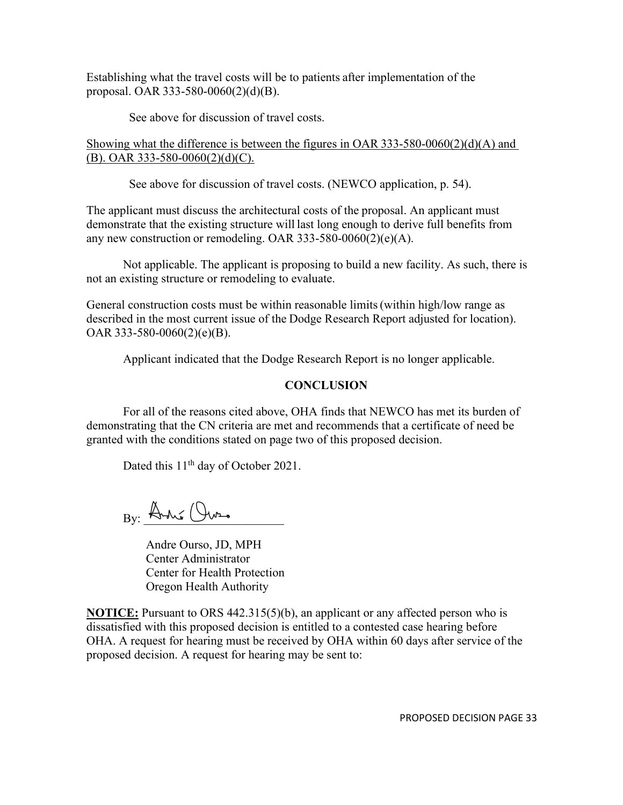Establishing what the travel costs will be to patients after implementation of the proposal. OAR 333-580-0060(2)(d)(B).

See above for discussion of travel costs.

Showing what the difference is between the figures in OAR 333-580-0060(2)(d)(A) and (B). OAR 333-580-0060(2)(d)(C).

See above for discussion of travel costs. (NEWCO application, p. 54).

The applicant must discuss the architectural costs of the proposal. An applicant must demonstrate that the existing structure will last long enough to derive full benefits from any new construction or remodeling. OAR 333-580-0060(2)(e)(A).

Not applicable. The applicant is proposing to build a new facility. As such, there is not an existing structure or remodeling to evaluate.

General construction costs must be within reasonable limits(within high/low range as described in the most current issue of the Dodge Research Report adjusted for location). OAR 333-580-0060(2)(e)(B).

Applicant indicated that the Dodge Research Report is no longer applicable.

### **CONCLUSION**

For all of the reasons cited above, OHA finds that NEWCO has met its burden of demonstrating that the CN criteria are met and recommends that a certificate of need be granted with the conditions stated on page two of this proposed decision.

Dated this 11<sup>th</sup> day of October 2021.

 $_{\rm By:}$  André (Our.

Andre Ourso, JD, MPH Center Administrator Center for Health Protection Oregon Health Authority

**NOTICE:** Pursuant to ORS 442.315(5)(b), an applicant or any affected person who is dissatisfied with this proposed decision is entitled to a contested case hearing before OHA. A request for hearing must be received by OHA within 60 days after service of the proposed decision. A request for hearing may be sent to:

PROPOSED DECISION PAGE 33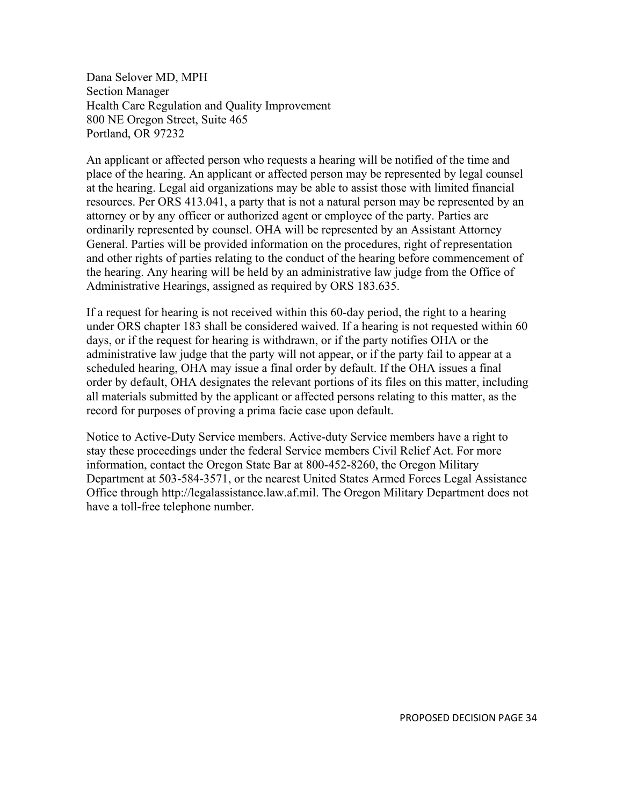Dana Selover MD, MPH Section Manager Health Care Regulation and Quality Improvement 800 NE Oregon Street, Suite 465 Portland, OR 97232

An applicant or affected person who requests a hearing will be notified of the time and place of the hearing. An applicant or affected person may be represented by legal counsel at the hearing. Legal aid organizations may be able to assist those with limited financial resources. Per ORS 413.041, a party that is not a natural person may be represented by an attorney or by any officer or authorized agent or employee of the party. Parties are ordinarily represented by counsel. OHA will be represented by an Assistant Attorney General. Parties will be provided information on the procedures, right of representation and other rights of parties relating to the conduct of the hearing before commencement of the hearing. Any hearing will be held by an administrative law judge from the Office of Administrative Hearings, assigned as required by ORS 183.635.

If a request for hearing is not received within this 60-day period, the right to a hearing under ORS chapter 183 shall be considered waived. If a hearing is not requested within 60 days, or if the request for hearing is withdrawn, or if the party notifies OHA or the administrative law judge that the party will not appear, or if the party fail to appear at a scheduled hearing, OHA may issue a final order by default. If the OHA issues a final order by default, OHA designates the relevant portions of its files on this matter, including all materials submitted by the applicant or affected persons relating to this matter, as the record for purposes of proving a prima facie case upon default.

Notice to Active-Duty Service members. Active-duty Service members have a right to stay these proceedings under the federal Service members Civil Relief Act. For more information, contact the Oregon State Bar at 800-452-8260, the Oregon Military Department at 503-584-3571, or the nearest United States Armed Forces Legal Assistance Office through http://legalassistance.law.af.mil. The Oregon Military Department does not have a toll-free telephone number.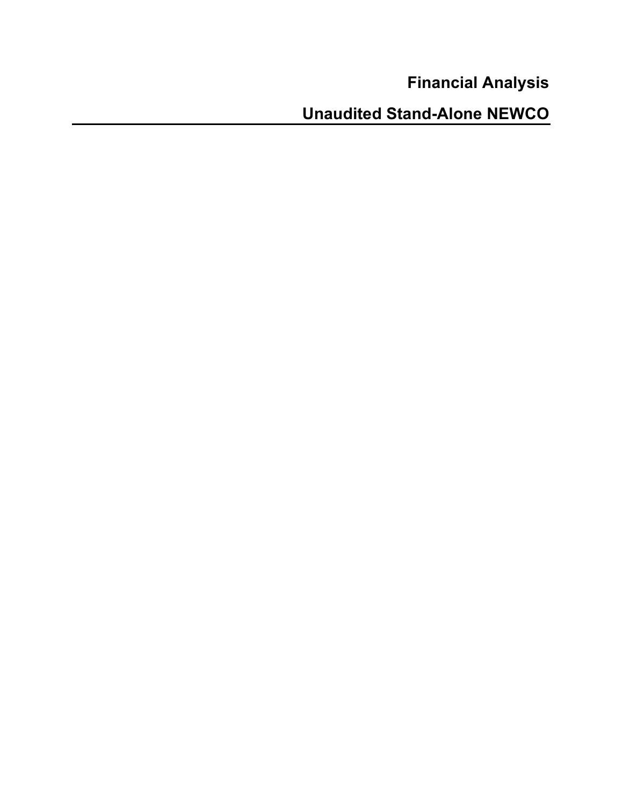**Financial Analysis**

**Unaudited Stand-Alone NEWCO**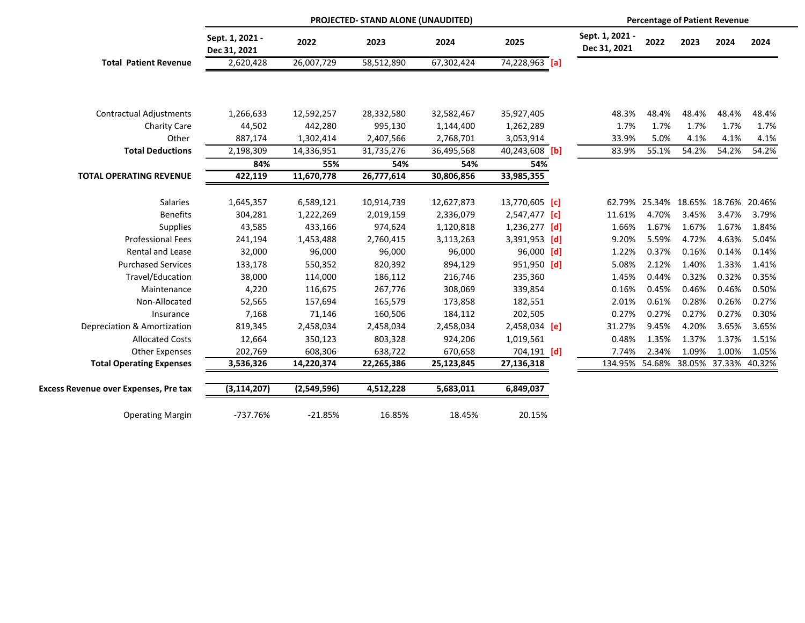|                                              | PROJECTED- STAND ALONE (UNAUDITED) |             |            |            | <b>Percentage of Patient Revenue</b> |                                 |        |       |                                    |        |
|----------------------------------------------|------------------------------------|-------------|------------|------------|--------------------------------------|---------------------------------|--------|-------|------------------------------------|--------|
|                                              | Sept. 1, 2021 -<br>Dec 31, 2021    | 2022        | 2023       | 2024       | 2025                                 | Sept. 1, 2021 -<br>Dec 31, 2021 | 2022   | 2023  | 2024                               | 2024   |
| <b>Total Patient Revenue</b>                 | 2,620,428                          | 26,007,729  | 58,512,890 | 67,302,424 | 74,228,963 [a]                       |                                 |        |       |                                    |        |
|                                              |                                    |             |            |            |                                      |                                 |        |       |                                    |        |
| <b>Contractual Adjustments</b>               | 1,266,633                          | 12,592,257  | 28,332,580 | 32,582,467 | 35,927,405                           | 48.3%                           | 48.4%  | 48.4% | 48.4%                              | 48.4%  |
| <b>Charity Care</b>                          | 44,502                             | 442,280     | 995,130    | 1,144,400  | 1,262,289                            | 1.7%                            | 1.7%   | 1.7%  | 1.7%                               | 1.7%   |
| Other                                        | 887,174                            | 1,302,414   | 2,407,566  | 2,768,701  | 3,053,914                            | 33.9%                           | 5.0%   | 4.1%  | 4.1%                               | 4.1%   |
| <b>Total Deductions</b>                      | 2,198,309                          | 14,336,951  | 31,735,276 | 36,495,568 | 40,243,608 [b]                       | 83.9%                           | 55.1%  | 54.2% | 54.2%                              | 54.2%  |
|                                              | 84%                                | 55%         | 54%        | 54%        | 54%                                  |                                 |        |       |                                    |        |
| <b>TOTAL OPERATING REVENUE</b>               | 422,119                            | 11,670,778  | 26,777,614 | 30,806,856 | 33,985,355                           |                                 |        |       |                                    |        |
| <b>Salaries</b>                              | 1,645,357                          | 6,589,121   | 10,914,739 | 12,627,873 | 13,770,605 [c]                       |                                 |        |       | 62.79% 25.34% 18.65% 18.76% 20.46% |        |
| <b>Benefits</b>                              | 304,281                            | 1,222,269   | 2,019,159  | 2,336,079  | 2,547,477 [c]                        | 11.61%                          | 4.70%  | 3.45% | 3.47%                              | 3.79%  |
| <b>Supplies</b>                              | 43,585                             | 433,166     | 974,624    | 1,120,818  | $1,236,277$ [d]                      | 1.66%                           | 1.67%  | 1.67% | 1.67%                              | 1.84%  |
| <b>Professional Fees</b>                     | 241,194                            | 1,453,488   | 2,760,415  | 3,113,263  | 3,391,953 [d]                        | 9.20%                           | 5.59%  | 4.72% | 4.63%                              | 5.04%  |
| Rental and Lease                             | 32,000                             | 96,000      | 96,000     | 96,000     | 96,000 [d]                           | 1.22%                           | 0.37%  | 0.16% | 0.14%                              | 0.14%  |
| <b>Purchased Services</b>                    | 133,178                            | 550,352     | 820,392    | 894,129    | 951,950 [d]                          | 5.08%                           | 2.12%  | 1.40% | 1.33%                              | 1.41%  |
| Travel/Education                             | 38,000                             | 114,000     | 186,112    | 216,746    | 235,360                              | 1.45%                           | 0.44%  | 0.32% | 0.32%                              | 0.35%  |
| Maintenance                                  | 4,220                              | 116,675     | 267,776    | 308,069    | 339,854                              | 0.16%                           | 0.45%  | 0.46% | 0.46%                              | 0.50%  |
| Non-Allocated                                | 52,565                             | 157,694     | 165,579    | 173,858    | 182,551                              | 2.01%                           | 0.61%  | 0.28% | 0.26%                              | 0.27%  |
| Insurance                                    | 7,168                              | 71,146      | 160,506    | 184,112    | 202,505                              | 0.27%                           | 0.27%  | 0.27% | 0.27%                              | 0.30%  |
| Depreciation & Amortization                  | 819,345                            | 2,458,034   | 2,458,034  | 2,458,034  | 2,458,034 [e]                        | 31.27%                          | 9.45%  | 4.20% | 3.65%                              | 3.65%  |
| <b>Allocated Costs</b>                       | 12,664                             | 350,123     | 803,328    | 924,206    | 1,019,561                            | 0.48%                           | 1.35%  | 1.37% | 1.37%                              | 1.51%  |
| Other Expenses                               | 202,769                            | 608,306     | 638,722    | 670,658    | 704,191 [d]                          | 7.74%                           | 2.34%  | 1.09% | 1.00%                              | 1.05%  |
| <b>Total Operating Expenses</b>              | 3,536,326                          | 14,220,374  | 22,265,386 | 25,123,845 | 27,136,318                           | 134.95%                         | 54.68% |       | 38.05% 37.33%                      | 40.32% |
| <b>Excess Revenue over Expenses, Pre tax</b> | (3, 114, 207)                      | (2,549,596) | 4,512,228  | 5,683,011  | 6,849,037                            |                                 |        |       |                                    |        |
| <b>Operating Margin</b>                      | -737.76%                           | $-21.85%$   | 16.85%     | 18.45%     | 20.15%                               |                                 |        |       |                                    |        |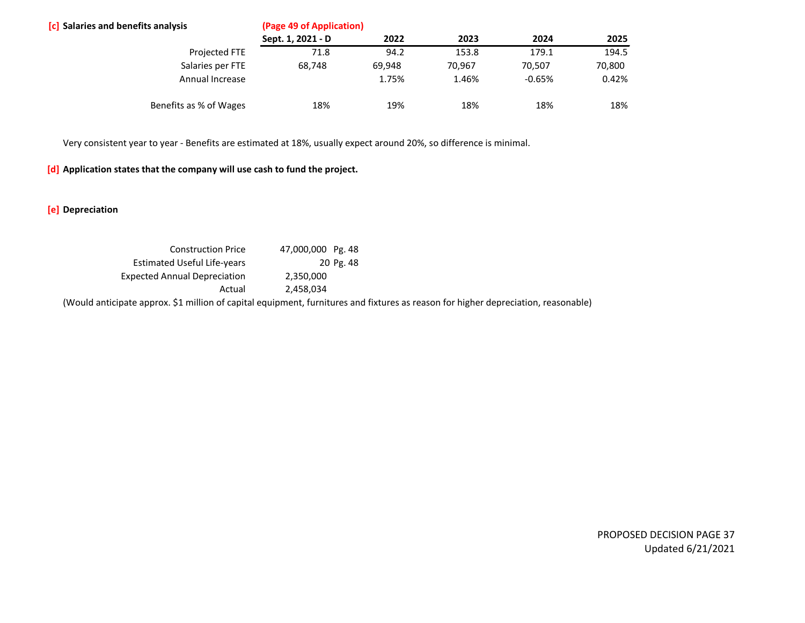| <b>[c]</b> Salaries and benefits analysis | (Page 49 of Application) |        |        |          |        |  |  |
|-------------------------------------------|--------------------------|--------|--------|----------|--------|--|--|
|                                           | Sept. 1, 2021 - D        | 2022   | 2023   | 2024     | 2025   |  |  |
| Projected FTE                             | 71.8                     | 94.2   | 153.8  | 179.1    | 194.5  |  |  |
| Salaries per FTE                          | 68,748                   | 69,948 | 70.967 | 70.507   | 70,800 |  |  |
| Annual Increase                           |                          | 1.75%  | 1.46%  | $-0.65%$ | 0.42%  |  |  |
| Benefits as % of Wages                    | 18%                      | 19%    | 18%    | 18%      | 18%    |  |  |

Very consistent year to year - Benefits are estimated at 18%, usually expect around 20%, so difference is minimal.

### **[d] Application states that the company will use cash to fund the project.**

**[e] Depreciation**

| <b>Construction Price</b>           | 47,000,000 Pg. 48 |                                                                                                                                    |
|-------------------------------------|-------------------|------------------------------------------------------------------------------------------------------------------------------------|
| Estimated Useful Life-years         | 20 Pg. 48         |                                                                                                                                    |
| <b>Expected Annual Depreciation</b> | 2.350.000         |                                                                                                                                    |
| Actual                              | 2.458.034         |                                                                                                                                    |
|                                     |                   | (Would anticipate approx. \$1 million of capital equipment, furnitures and fixtures as reason for higher depreciation, reasonable) |